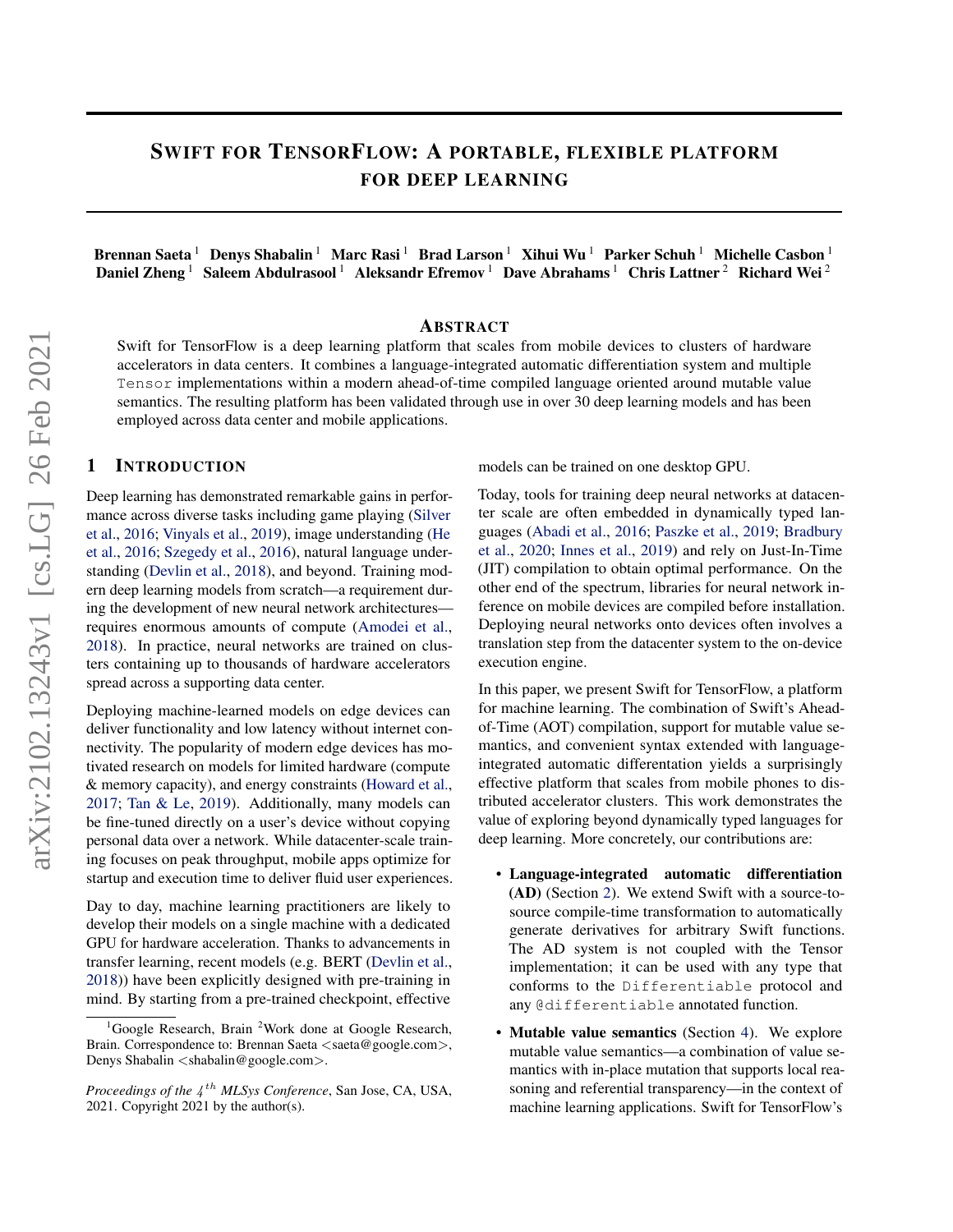# SWIFT FOR TENSORFLOW: A PORTABLE, FLEXIBLE PLATFORM FOR DEEP LEARNING

Brennan Saeta<sup>1</sup> Denys Shabalin<sup>1</sup> Marc Rasi<sup>1</sup> Brad Larson<sup>1</sup> Xihui Wu<sup>1</sup> Parker Schuh<sup>1</sup> Michelle Casbon<sup>1</sup> Daniel Zheng<sup>1</sup> Saleem Abdulrasool<sup>1</sup> Aleksandr Efremov<sup>1</sup> Dave Abrahams<sup>1</sup> Chris Lattner<sup>2</sup> Richard Wei<sup>2</sup>

#### ABSTRACT

Swift for TensorFlow is a deep learning platform that scales from mobile devices to clusters of hardware accelerators in data centers. It combines a language-integrated automatic differentiation system and multiple Tensor implementations within a modern ahead-of-time compiled language oriented around mutable value semantics. The resulting platform has been validated through use in over 30 deep learning models and has been employed across data center and mobile applications.

# 1 INTRODUCTION

Deep learning has demonstrated remarkable gains in performance across diverse tasks including game playing [\(Silver](#page-12-0) [et al.,](#page-12-0) [2016;](#page-12-0) [Vinyals et al.,](#page-12-0) [2019\)](#page-12-0), image understanding [\(He](#page-10-0) [et al.,](#page-10-0) [2016;](#page-10-0) [Szegedy et al.,](#page-12-0) [2016\)](#page-12-0), natural language understanding [\(Devlin et al.,](#page-10-0) [2018\)](#page-10-0), and beyond. Training modern deep learning models from scratch—a requirement during the development of new neural network architectures requires enormous amounts of compute [\(Amodei et al.,](#page-10-0) [2018\)](#page-10-0). In practice, neural networks are trained on clusters containing up to thousands of hardware accelerators spread across a supporting data center.

Deploying machine-learned models on edge devices can deliver functionality and low latency without internet connectivity. The popularity of modern edge devices has motivated research on models for limited hardware (compute & memory capacity), and energy constraints [\(Howard et al.,](#page-11-0) [2017;](#page-11-0) [Tan & Le,](#page-12-0) [2019\)](#page-12-0). Additionally, many models can be fine-tuned directly on a user's device without copying personal data over a network. While datacenter-scale training focuses on peak throughput, mobile apps optimize for startup and execution time to deliver fluid user experiences.

Day to day, machine learning practitioners are likely to develop their models on a single machine with a dedicated GPU for hardware acceleration. Thanks to advancements in transfer learning, recent models (e.g. BERT [\(Devlin et al.,](#page-10-0) [2018\)](#page-10-0)) have been explicitly designed with pre-training in mind. By starting from a pre-trained checkpoint, effective

models can be trained on one desktop GPU.

Today, tools for training deep neural networks at datacenter scale are often embedded in dynamically typed languages [\(Abadi et al.,](#page-10-0) [2016;](#page-10-0) [Paszke et al.,](#page-11-0) [2019;](#page-11-0) [Bradbury](#page-10-0) [et al.,](#page-10-0) [2020;](#page-10-0) [Innes et al.,](#page-11-0) [2019\)](#page-11-0) and rely on Just-In-Time (JIT) compilation to obtain optimal performance. On the other end of the spectrum, libraries for neural network inference on mobile devices are compiled before installation. Deploying neural networks onto devices often involves a translation step from the datacenter system to the on-device execution engine.

In this paper, we present Swift for TensorFlow, a platform for machine learning. The combination of Swift's Aheadof-Time (AOT) compilation, support for mutable value semantics, and convenient syntax extended with languageintegrated automatic differentation yields a surprisingly effective platform that scales from mobile phones to distributed accelerator clusters. This work demonstrates the value of exploring beyond dynamically typed languages for deep learning. More concretely, our contributions are:

- Language-integrated automatic differentiation (AD) (Section [2\)](#page-1-0). We extend Swift with a source-tosource compile-time transformation to automatically generate derivatives for arbitrary Swift functions. The AD system is not coupled with the Tensor implementation; it can be used with any type that conforms to the Differentiable protocol and any @differentiable annotated function.
- Mutable value semantics (Section [4\)](#page-4-0). We explore mutable value semantics—a combination of value semantics with in-place mutation that supports local reasoning and referential transparency—in the context of machine learning applications. Swift for TensorFlow's

<sup>1</sup>Google Research, Brain <sup>2</sup>Work done at Google Research, Brain. Correspondence to: Brennan Saeta <saeta@google.com>, Denys Shabalin <shabalin@google.com>.

Proceedings of the  $4^{th}$  MLSys Conference, San Jose, CA, USA, 2021. Copyright 2021 by the author(s).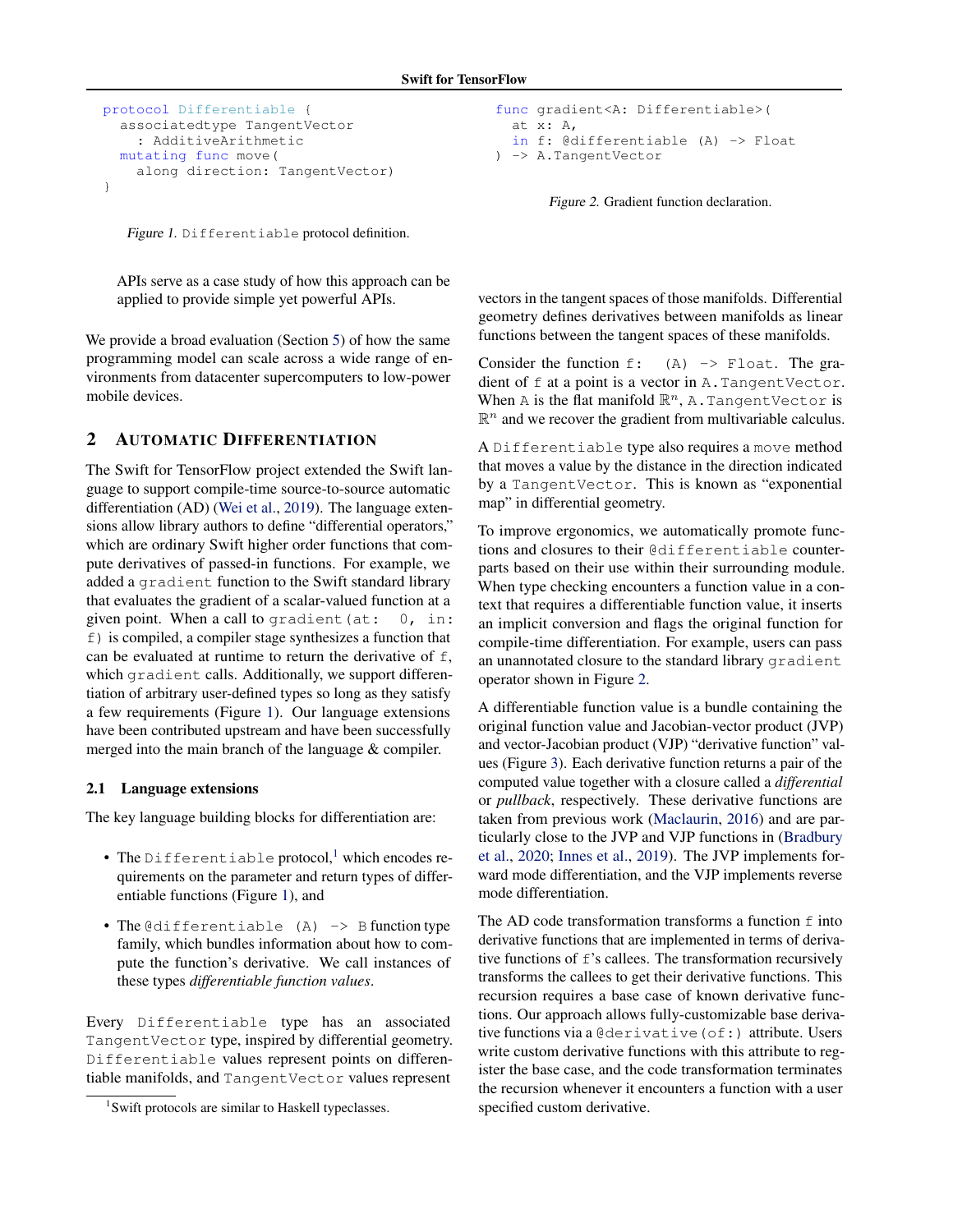```
protocol Differentiable {
  associatedtype TangentVector
    : AdditiveArithmetic
  mutating func move(
    along direction: TangentVector)
}
```
Figure 1. Differentiable protocol definition.

APIs serve as a case study of how this approach can be applied to provide simple yet powerful APIs.

We provide a broad evaluation (Section [5\)](#page-7-0) of how the same programming model can scale across a wide range of environments from datacenter supercomputers to low-power mobile devices.

# 2 AUTOMATIC DIFFERENTIATION

The Swift for TensorFlow project extended the Swift language to support compile-time source-to-source automatic differentiation (AD) [\(Wei et al.,](#page-12-0) [2019\)](#page-12-0). The language extensions allow library authors to define "differential operators," which are ordinary Swift higher order functions that compute derivatives of passed-in functions. For example, we added a gradient function to the Swift standard library that evaluates the gradient of a scalar-valued function at a given point. When a call to gradient (at:  $0, \text{in}:$ f) is compiled, a compiler stage synthesizes a function that can be evaluated at runtime to return the derivative of f, which gradient calls. Additionally, we support differentiation of arbitrary user-defined types so long as they satisfy a few requirements (Figure 1). Our language extensions have been contributed upstream and have been successfully merged into the main branch of the language & compiler.

### 2.1 Language extensions

The key language building blocks for differentiation are:

- The Differentiable protocol,<sup>1</sup> which encodes requirements on the parameter and return types of differentiable functions (Figure 1), and
- The @differentiable  $(A) \rightarrow B$  function type family, which bundles information about how to compute the function's derivative. We call instances of these types *differentiable function values*.

Every Differentiable type has an associated TangentVector type, inspired by differential geometry. Differentiable values represent points on differentiable manifolds, and TangentVector values represent

```
func gradient<A: Differentiable>(
  at x: A,
  in f: @differentiable (A) -> Float
) -> A.TangentVector
```
Figure 2. Gradient function declaration.

vectors in the tangent spaces of those manifolds. Differential geometry defines derivatives between manifolds as linear functions between the tangent spaces of these manifolds.

Consider the function  $f: (A) \rightarrow F$ loat. The gradient of f at a point is a vector in A.TangentVector. When A is the flat manifold  $\mathbb{R}^n$ , A. Tangent Vector is  $\mathbb{R}^n$  and we recover the gradient from multivariable calculus.

A Differentiable type also requires a move method that moves a value by the distance in the direction indicated by a TangentVector. This is known as "exponential map" in differential geometry.

To improve ergonomics, we automatically promote functions and closures to their @differentiable counterparts based on their use within their surrounding module. When type checking encounters a function value in a context that requires a differentiable function value, it inserts an implicit conversion and flags the original function for compile-time differentiation. For example, users can pass an unannotated closure to the standard library gradient operator shown in Figure 2.

A differentiable function value is a bundle containing the original function value and Jacobian-vector product (JVP) and vector-Jacobian product (VJP) "derivative function" values (Figure [3\)](#page-2-0). Each derivative function returns a pair of the computed value together with a closure called a *differential* or *pullback*, respectively. These derivative functions are taken from previous work [\(Maclaurin,](#page-11-0) [2016\)](#page-11-0) and are particularly close to the JVP and VJP functions in [\(Bradbury](#page-10-0) [et al.,](#page-10-0) [2020;](#page-10-0) [Innes et al.,](#page-11-0) [2019\)](#page-11-0). The JVP implements forward mode differentiation, and the VJP implements reverse mode differentiation.

The AD code transformation transforms a function  $f$  into derivative functions that are implemented in terms of derivative functions of  $f$ 's callees. The transformation recursively transforms the callees to get their derivative functions. This recursion requires a base case of known derivative functions. Our approach allows fully-customizable base derivative functions via a @derivative(of:) attribute. Users write custom derivative functions with this attribute to register the base case, and the code transformation terminates the recursion whenever it encounters a function with a user specified custom derivative.

<sup>&</sup>lt;sup>1</sup>Swift protocols are similar to Haskell typeclasses.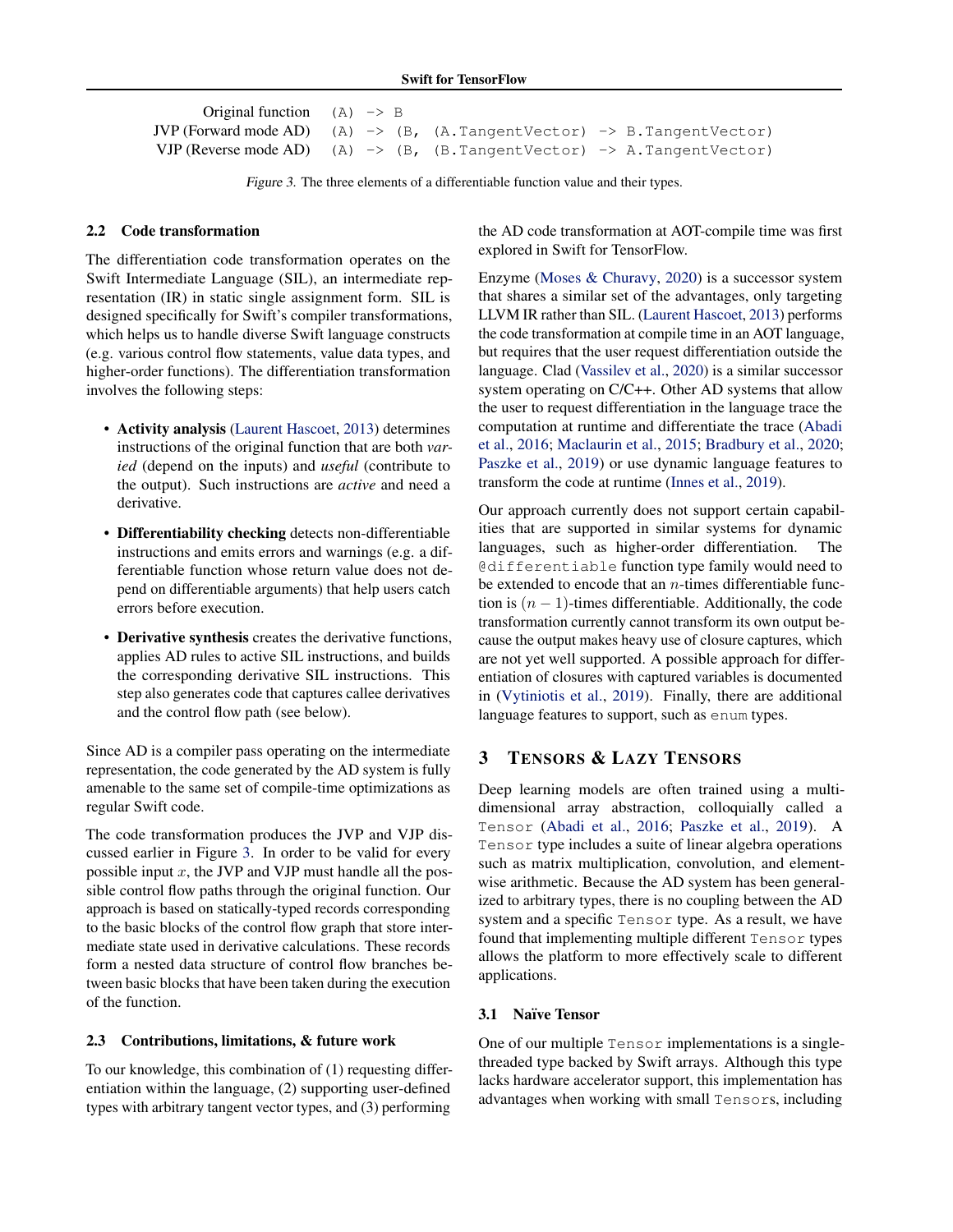```
Original function (A) \rightarrow BJVP (Forward mode AD) (A) \rightarrow (B, (A.TangentVector) \rightarrow B.TangentVector)
VJP (Reverse mode AD) (A) \rightarrow (B, (B. TangentVector) \rightarrow A. TangentVector)
```
Figure 3. The three elements of a differentiable function value and their types.

# 2.2 Code transformation

The differentiation code transformation operates on the Swift Intermediate Language (SIL), an intermediate representation (IR) in static single assignment form. SIL is designed specifically for Swift's compiler transformations, which helps us to handle diverse Swift language constructs (e.g. various control flow statements, value data types, and higher-order functions). The differentiation transformation involves the following steps:

- Activity analysis [\(Laurent Hascoet,](#page-11-0) [2013\)](#page-11-0) determines instructions of the original function that are both *varied* (depend on the inputs) and *useful* (contribute to the output). Such instructions are *active* and need a derivative.
- Differentiability checking detects non-differentiable instructions and emits errors and warnings (e.g. a differentiable function whose return value does not depend on differentiable arguments) that help users catch errors before execution.
- Derivative synthesis creates the derivative functions, applies AD rules to active SIL instructions, and builds the corresponding derivative SIL instructions. This step also generates code that captures callee derivatives and the control flow path (see below).

Since AD is a compiler pass operating on the intermediate representation, the code generated by the AD system is fully amenable to the same set of compile-time optimizations as regular Swift code.

The code transformation produces the JVP and VJP discussed earlier in Figure 3. In order to be valid for every possible input  $x$ , the JVP and VJP must handle all the possible control flow paths through the original function. Our approach is based on statically-typed records corresponding to the basic blocks of the control flow graph that store intermediate state used in derivative calculations. These records form a nested data structure of control flow branches between basic blocks that have been taken during the execution of the function.

### 2.3 Contributions, limitations, & future work

To our knowledge, this combination of (1) requesting differentiation within the language, (2) supporting user-defined types with arbitrary tangent vector types, and (3) performing

the AD code transformation at AOT-compile time was first explored in Swift for TensorFlow.

Enzyme [\(Moses & Churavy,](#page-11-0) [2020\)](#page-11-0) is a successor system that shares a similar set of the advantages, only targeting LLVM IR rather than SIL. [\(Laurent Hascoet,](#page-11-0) [2013\)](#page-11-0) performs the code transformation at compile time in an AOT language, but requires that the user request differentiation outside the language. Clad [\(Vassilev et al.,](#page-12-0) [2020\)](#page-12-0) is a similar successor system operating on C/C++. Other AD systems that allow the user to request differentiation in the language trace the computation at runtime and differentiate the trace [\(Abadi](#page-10-0) [et al.,](#page-10-0) [2016;](#page-10-0) [Maclaurin et al.,](#page-11-0) [2015;](#page-11-0) [Bradbury et al.,](#page-10-0) [2020;](#page-10-0) [Paszke et al.,](#page-11-0) [2019\)](#page-11-0) or use dynamic language features to transform the code at runtime [\(Innes et al.,](#page-11-0) [2019\)](#page-11-0).

Our approach currently does not support certain capabilities that are supported in similar systems for dynamic languages, such as higher-order differentiation. The @differentiable function type family would need to be extended to encode that an  $n$ -times differentiable function is  $(n - 1)$ -times differentiable. Additionally, the code transformation currently cannot transform its own output because the output makes heavy use of closure captures, which are not yet well supported. A possible approach for differentiation of closures with captured variables is documented in [\(Vytiniotis et al.,](#page-12-0) [2019\)](#page-12-0). Finally, there are additional language features to support, such as enum types.

# 3 TENSORS & LAZY TENSORS

Deep learning models are often trained using a multidimensional array abstraction, colloquially called a Tensor [\(Abadi et al.,](#page-10-0) [2016;](#page-10-0) [Paszke et al.,](#page-11-0) [2019\)](#page-11-0). A Tensor type includes a suite of linear algebra operations such as matrix multiplication, convolution, and elementwise arithmetic. Because the AD system has been generalized to arbitrary types, there is no coupling between the AD system and a specific Tensor type. As a result, we have found that implementing multiple different Tensor types allows the platform to more effectively scale to different applications.

# 3.1 Naïve Tensor

One of our multiple Tensor implementations is a singlethreaded type backed by Swift arrays. Although this type lacks hardware accelerator support, this implementation has advantages when working with small Tensors, including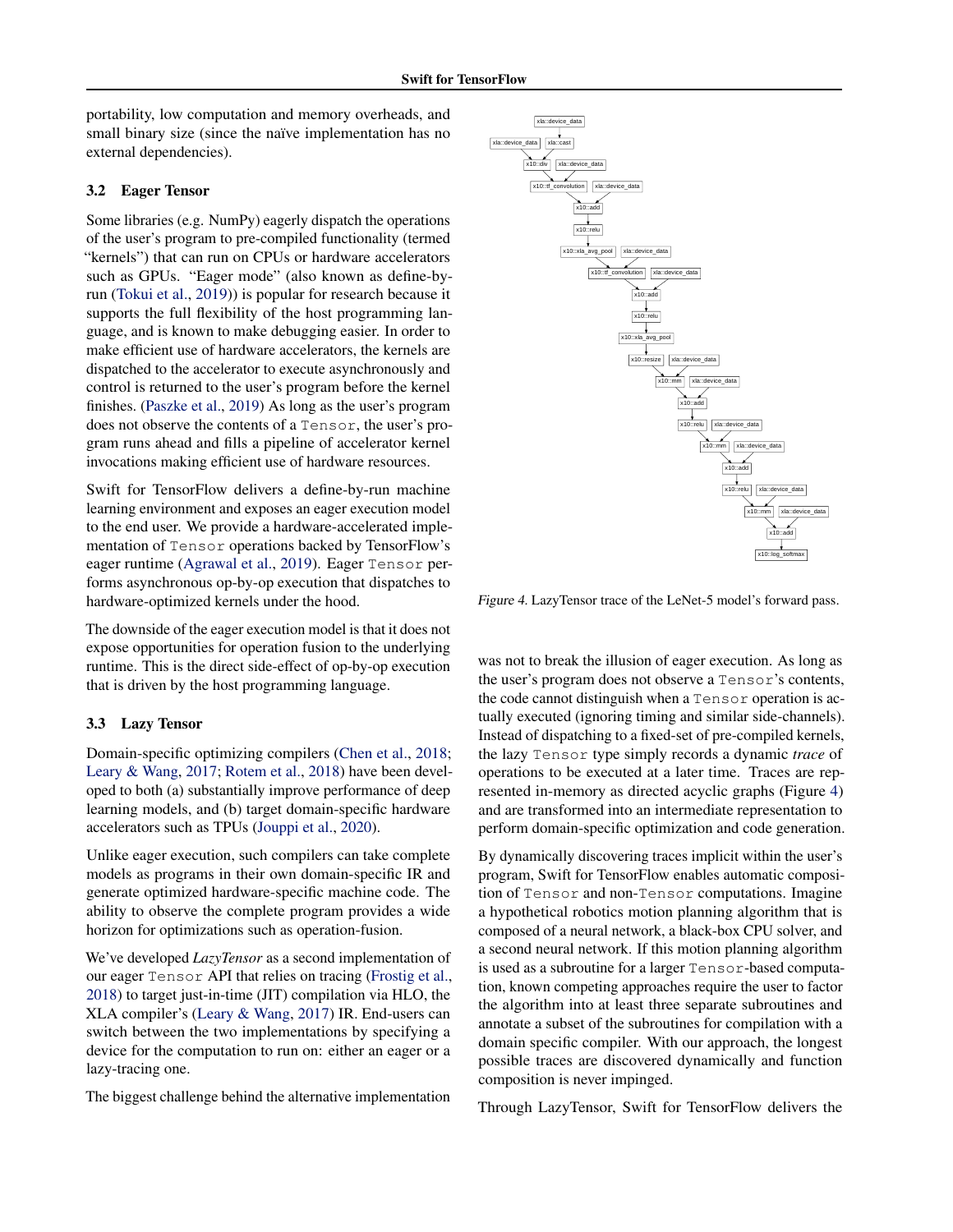portability, low computation and memory overheads, and small binary size (since the naïve implementation has no external dependencies).

### 3.2 Eager Tensor

Some libraries (e.g. NumPy) eagerly dispatch the operations of the user's program to pre-compiled functionality (termed "kernels") that can run on CPUs or hardware accelerators such as GPUs. "Eager mode" (also known as define-byrun [\(Tokui et al.,](#page-12-0) [2019\)](#page-12-0)) is popular for research because it supports the full flexibility of the host programming language, and is known to make debugging easier. In order to make efficient use of hardware accelerators, the kernels are dispatched to the accelerator to execute asynchronously and control is returned to the user's program before the kernel finishes. [\(Paszke et al.,](#page-11-0) [2019\)](#page-11-0) As long as the user's program does not observe the contents of a Tensor, the user's program runs ahead and fills a pipeline of accelerator kernel invocations making efficient use of hardware resources.

Swift for TensorFlow delivers a define-by-run machine learning environment and exposes an eager execution model to the end user. We provide a hardware-accelerated implementation of Tensor operations backed by TensorFlow's eager runtime [\(Agrawal et al.,](#page-10-0) [2019\)](#page-10-0). Eager Tensor performs asynchronous op-by-op execution that dispatches to hardware-optimized kernels under the hood.

The downside of the eager execution model is that it does not expose opportunities for operation fusion to the underlying runtime. This is the direct side-effect of op-by-op execution that is driven by the host programming language.

# 3.3 Lazy Tensor

Domain-specific optimizing compilers [\(Chen et al.,](#page-10-0) [2018;](#page-10-0) [Leary & Wang,](#page-11-0) [2017;](#page-11-0) [Rotem et al.,](#page-12-0) [2018\)](#page-12-0) have been developed to both (a) substantially improve performance of deep learning models, and (b) target domain-specific hardware accelerators such as TPUs [\(Jouppi et al.,](#page-11-0) [2020\)](#page-11-0).

Unlike eager execution, such compilers can take complete models as programs in their own domain-specific IR and generate optimized hardware-specific machine code. The ability to observe the complete program provides a wide horizon for optimizations such as operation-fusion.

We've developed *LazyTensor* as a second implementation of our eager Tensor API that relies on tracing [\(Frostig et al.,](#page-10-0) [2018\)](#page-10-0) to target just-in-time (JIT) compilation via HLO, the XLA compiler's [\(Leary & Wang,](#page-11-0) [2017\)](#page-11-0) IR. End-users can switch between the two implementations by specifying a device for the computation to run on: either an eager or a lazy-tracing one.

The biggest challenge behind the alternative implementation



Figure 4. LazyTensor trace of the LeNet-5 model's forward pass.

was not to break the illusion of eager execution. As long as the user's program does not observe a Tensor's contents, the code cannot distinguish when a Tensor operation is actually executed (ignoring timing and similar side-channels). Instead of dispatching to a fixed-set of pre-compiled kernels, the lazy Tensor type simply records a dynamic *trace* of operations to be executed at a later time. Traces are represented in-memory as directed acyclic graphs (Figure 4) and are transformed into an intermediate representation to perform domain-specific optimization and code generation.

By dynamically discovering traces implicit within the user's program, Swift for TensorFlow enables automatic composition of Tensor and non-Tensor computations. Imagine a hypothetical robotics motion planning algorithm that is composed of a neural network, a black-box CPU solver, and a second neural network. If this motion planning algorithm is used as a subroutine for a larger Tensor-based computation, known competing approaches require the user to factor the algorithm into at least three separate subroutines and annotate a subset of the subroutines for compilation with a domain specific compiler. With our approach, the longest possible traces are discovered dynamically and function composition is never impinged.

Through LazyTensor, Swift for TensorFlow delivers the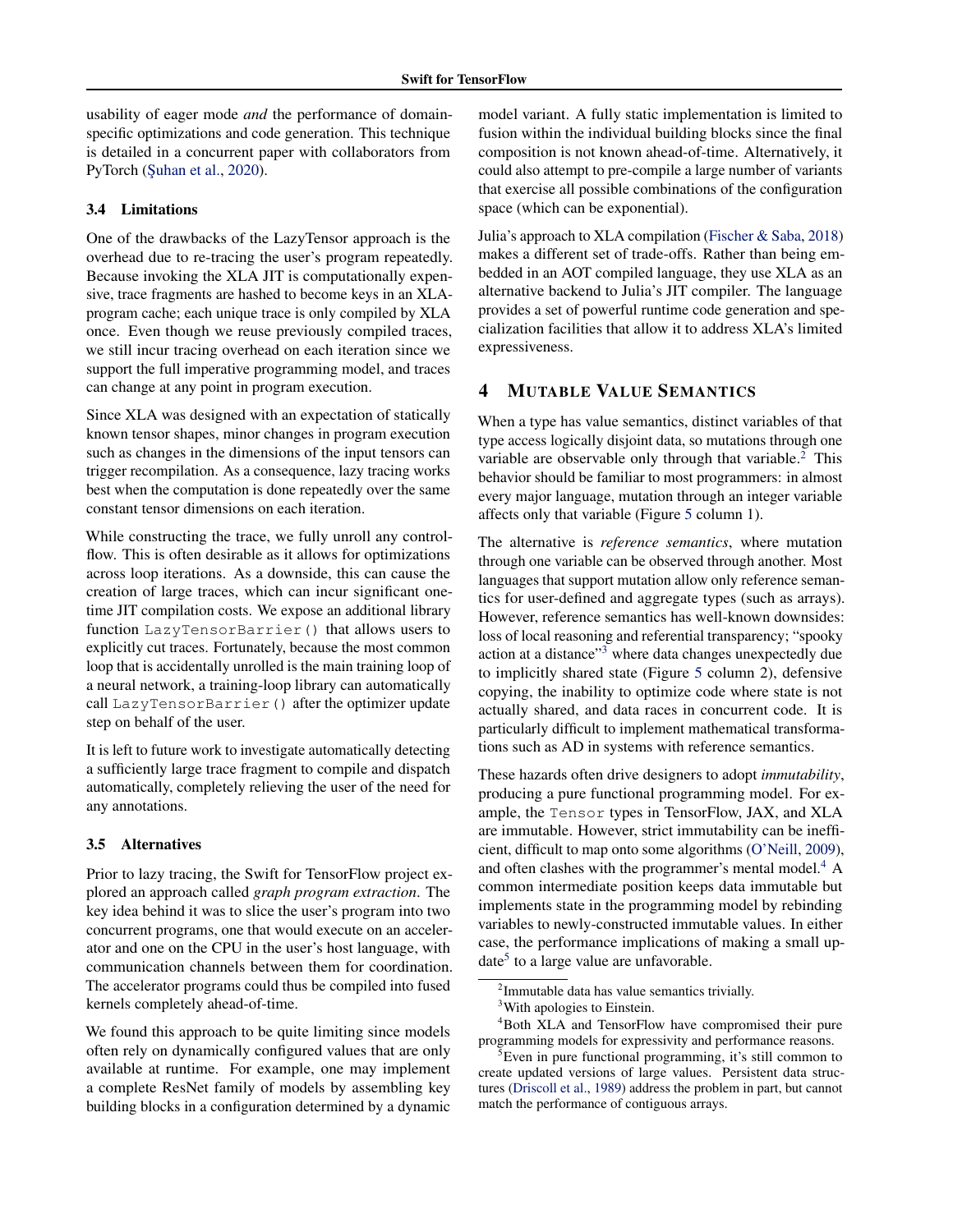<span id="page-4-0"></span>usability of eager mode *and* the performance of domainspecific optimizations and code generation. This technique is detailed in a concurrent paper with collaborators from PyTorch (Şuhan et al., [2020\)](#page-10-0).

# 3.4 Limitations

One of the drawbacks of the LazyTensor approach is the overhead due to re-tracing the user's program repeatedly. Because invoking the XLA JIT is computationally expensive, trace fragments are hashed to become keys in an XLAprogram cache; each unique trace is only compiled by XLA once. Even though we reuse previously compiled traces, we still incur tracing overhead on each iteration since we support the full imperative programming model, and traces can change at any point in program execution.

Since XLA was designed with an expectation of statically known tensor shapes, minor changes in program execution such as changes in the dimensions of the input tensors can trigger recompilation. As a consequence, lazy tracing works best when the computation is done repeatedly over the same constant tensor dimensions on each iteration.

While constructing the trace, we fully unroll any controlflow. This is often desirable as it allows for optimizations across loop iterations. As a downside, this can cause the creation of large traces, which can incur significant onetime JIT compilation costs. We expose an additional library function LazyTensorBarrier() that allows users to explicitly cut traces. Fortunately, because the most common loop that is accidentally unrolled is the main training loop of a neural network, a training-loop library can automatically call LazyTensorBarrier() after the optimizer update step on behalf of the user.

It is left to future work to investigate automatically detecting a sufficiently large trace fragment to compile and dispatch automatically, completely relieving the user of the need for any annotations.

### 3.5 Alternatives

Prior to lazy tracing, the Swift for TensorFlow project explored an approach called *graph program extraction*. The key idea behind it was to slice the user's program into two concurrent programs, one that would execute on an accelerator and one on the CPU in the user's host language, with communication channels between them for coordination. The accelerator programs could thus be compiled into fused kernels completely ahead-of-time.

We found this approach to be quite limiting since models often rely on dynamically configured values that are only available at runtime. For example, one may implement a complete ResNet family of models by assembling key building blocks in a configuration determined by a dynamic model variant. A fully static implementation is limited to fusion within the individual building blocks since the final composition is not known ahead-of-time. Alternatively, it could also attempt to pre-compile a large number of variants that exercise all possible combinations of the configuration space (which can be exponential).

Julia's approach to XLA compilation [\(Fischer & Saba,](#page-10-0) [2018\)](#page-10-0) makes a different set of trade-offs. Rather than being embedded in an AOT compiled language, they use XLA as an alternative backend to Julia's JIT compiler. The language provides a set of powerful runtime code generation and specialization facilities that allow it to address XLA's limited expressiveness.

# 4 MUTABLE VALUE SEMANTICS

When a type has value semantics, distinct variables of that type access logically disjoint data, so mutations through one variable are observable only through that variable.<sup>2</sup> This behavior should be familiar to most programmers: in almost every major language, mutation through an integer variable affects only that variable (Figure [5](#page-5-0) column 1).

The alternative is *reference semantics*, where mutation through one variable can be observed through another. Most languages that support mutation allow only reference semantics for user-defined and aggregate types (such as arrays). However, reference semantics has well-known downsides: loss of local reasoning and referential transparency; "spooky action at a distance"<sup>3</sup> where data changes unexpectedly due to implicitly shared state (Figure [5](#page-5-0) column 2), defensive copying, the inability to optimize code where state is not actually shared, and data races in concurrent code. It is particularly difficult to implement mathematical transformations such as AD in systems with reference semantics.

These hazards often drive designers to adopt *immutability*, producing a pure functional programming model. For example, the Tensor types in TensorFlow, JAX, and XLA are immutable. However, strict immutability can be inefficient, difficult to map onto some algorithms [\(O'Neill,](#page-11-0) [2009\)](#page-11-0), and often clashes with the programmer's mental model. $4 \text{ A}$ common intermediate position keeps data immutable but implements state in the programming model by rebinding variables to newly-constructed immutable values. In either case, the performance implications of making a small update<sup>5</sup> to a large value are unfavorable.

<sup>&</sup>lt;sup>2</sup>Immutable data has value semantics trivially.

<sup>&</sup>lt;sup>3</sup>With apologies to Einstein.

<sup>4</sup>Both XLA and TensorFlow have compromised their pure programming models for expressivity and performance reasons.

 ${}^{5}$ Even in pure functional programming, it's still common to create updated versions of large values. Persistent data structures [\(Driscoll et al.,](#page-10-0) [1989\)](#page-10-0) address the problem in part, but cannot match the performance of contiguous arrays.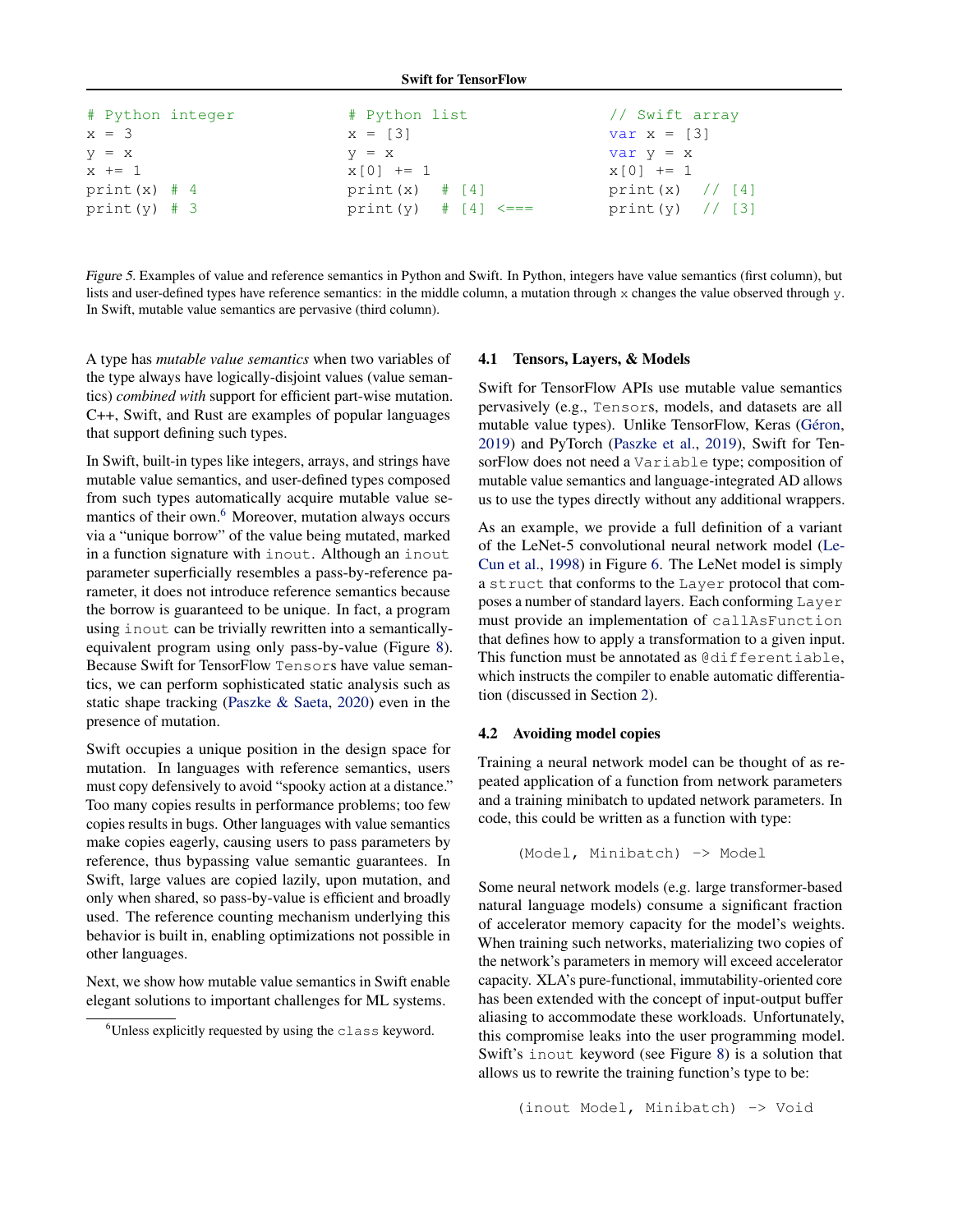Swift for TensorFlow

<span id="page-5-0"></span>

| # Python integer | # Python list                | // Swift array              |
|------------------|------------------------------|-----------------------------|
| $x = 3$          | $x = [3]$                    | var $x = \lfloor 3 \rfloor$ |
| $V = X$          | $V = X$                      | $var y = x$                 |
| $x \neq 1$       | $x[0]$ += 1                  | $x[0]$ += 1                 |
| print $(x)$ # 4  | print $(x)$ $\#$ [4]         | print $(x)$ // [4]          |
| print $(y)$ # 3  | print (y) $\#$ [4] $\leq ==$ | print $(y) / [3]$           |

Figure 5. Examples of value and reference semantics in Python and Swift. In Python, integers have value semantics (first column), but lists and user-defined types have reference semantics: in the middle column, a mutation through x changes the value observed through y. In Swift, mutable value semantics are pervasive (third column).

A type has *mutable value semantics* when two variables of the type always have logically-disjoint values (value semantics) *combined with* support for efficient part-wise mutation. C++, Swift, and Rust are examples of popular languages that support defining such types.

In Swift, built-in types like integers, arrays, and strings have mutable value semantics, and user-defined types composed from such types automatically acquire mutable value semantics of their own.<sup>6</sup> Moreover, mutation always occurs via a "unique borrow" of the value being mutated, marked in a function signature with inout. Although an inout parameter superficially resembles a pass-by-reference parameter, it does not introduce reference semantics because the borrow is guaranteed to be unique. In fact, a program using inout can be trivially rewritten into a semanticallyequivalent program using only pass-by-value (Figure [8\)](#page-13-0). Because Swift for TensorFlow Tensors have value semantics, we can perform sophisticated static analysis such as static shape tracking [\(Paszke & Saeta,](#page-11-0) [2020\)](#page-11-0) even in the presence of mutation.

Swift occupies a unique position in the design space for mutation. In languages with reference semantics, users must copy defensively to avoid "spooky action at a distance." Too many copies results in performance problems; too few copies results in bugs. Other languages with value semantics make copies eagerly, causing users to pass parameters by reference, thus bypassing value semantic guarantees. In Swift, large values are copied lazily, upon mutation, and only when shared, so pass-by-value is efficient and broadly used. The reference counting mechanism underlying this behavior is built in, enabling optimizations not possible in other languages.

Next, we show how mutable value semantics in Swift enable elegant solutions to important challenges for ML systems.

#### 4.1 Tensors, Layers, & Models

Swift for TensorFlow APIs use mutable value semantics pervasively (e.g., Tensors, models, and datasets are all mutable value types). Unlike TensorFlow, Keras (Géron, [2019\)](#page-10-0) and PyTorch [\(Paszke et al.,](#page-11-0) [2019\)](#page-11-0), Swift for TensorFlow does not need a Variable type; composition of mutable value semantics and language-integrated AD allows us to use the types directly without any additional wrappers.

As an example, we provide a full definition of a variant of the LeNet-5 convolutional neural network model [\(Le-](#page-11-0)[Cun et al.,](#page-11-0) [1998\)](#page-11-0) in Figure [6.](#page-6-0) The LeNet model is simply a struct that conforms to the Layer protocol that composes a number of standard layers. Each conforming Layer must provide an implementation of callAsFunction that defines how to apply a transformation to a given input. This function must be annotated as @differentiable, which instructs the compiler to enable automatic differentiation (discussed in Section [2\)](#page-1-0).

### 4.2 Avoiding model copies

Training a neural network model can be thought of as repeated application of a function from network parameters and a training minibatch to updated network parameters. In code, this could be written as a function with type:

(Model, Minibatch) -> Model

Some neural network models (e.g. large transformer-based natural language models) consume a significant fraction of accelerator memory capacity for the model's weights. When training such networks, materializing two copies of the network's parameters in memory will exceed accelerator capacity. XLA's pure-functional, immutability-oriented core has been extended with the concept of input-output buffer aliasing to accommodate these workloads. Unfortunately, this compromise leaks into the user programming model. Swift's inout keyword (see Figure [8\)](#page-13-0) is a solution that allows us to rewrite the training function's type to be:

(inout Model, Minibatch) -> Void

<sup>&</sup>lt;sup>6</sup>Unless explicitly requested by using the class keyword.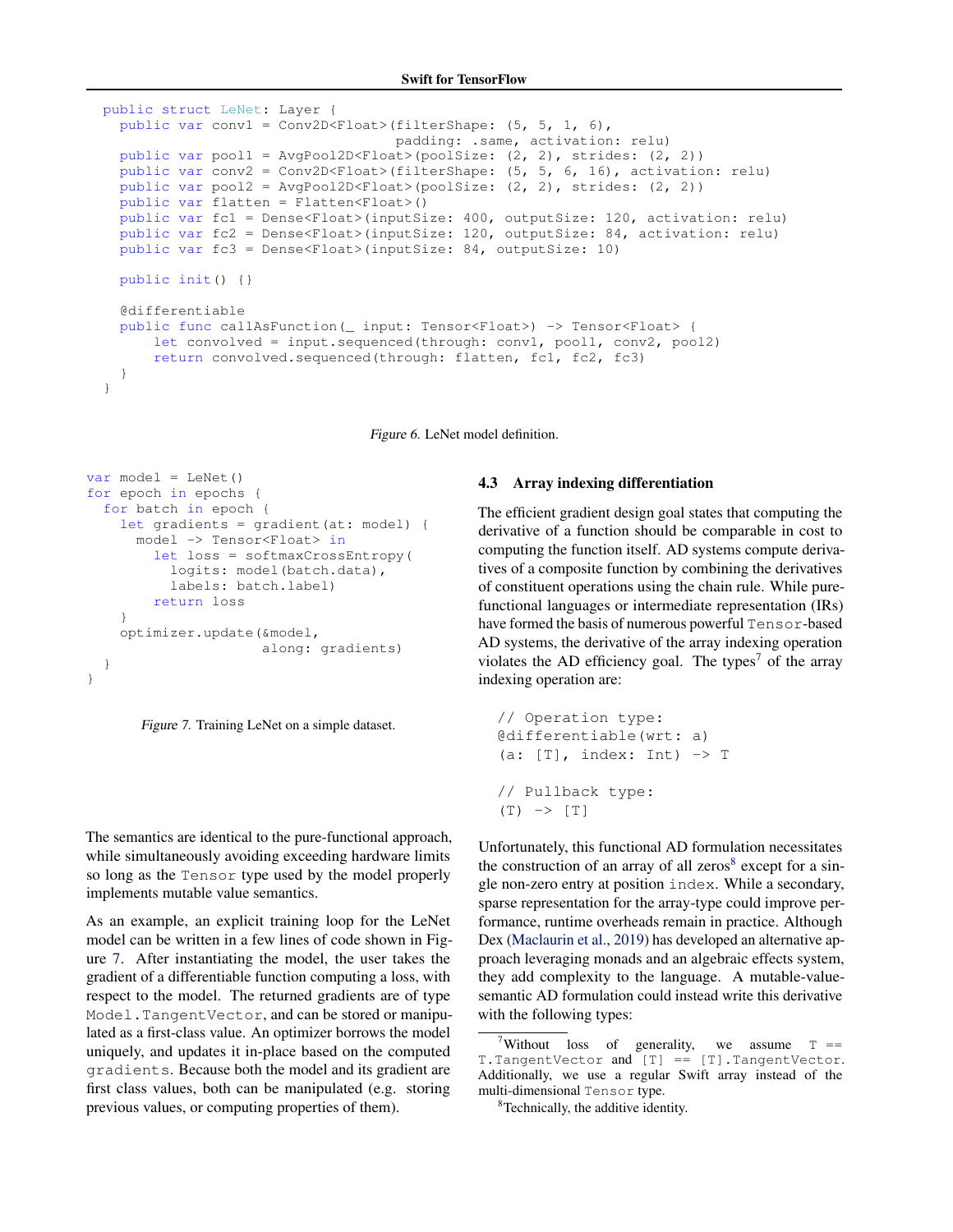```
public struct LeNet: Layer {
 public var conv1 = Conv2D<Float>(filterShape: (5, 5, 1, 6),
                                   padding: .same, activation: relu)
 public var pool1 = AvgPool2D<Float>(poolSize: (2, 2), strides: (2, 2))
 public var conv2 = Conv2D<Float>(filterShape: (5, 5, 6, 16), activation: relu)
 public var pool2 = AvgPool2D<Float>(poolSize: (2, 2), strides: (2, 2))
 public var flatten = Flatten<Float>()
 public var fc1 = Dense<Float>(inputSize: 400, outputSize: 120, activation: relu)
 public var fc2 = Dense<Float>(inputSize: 120, outputSize: 84, activation: relu)
 public var fc3 = Dense<Float>(inputSize: 84, outputSize: 10)
 public init() {}
 @differentiable
 public func callAsFunction(_ input: Tensor<Float>) -> Tensor<Float> {
      let convolved = input.sequenced(through: conv1, pool1, conv2, pool2)
      return convolved.sequenced(through: flatten, fc1, fc2, fc3)
  }
}
```
Figure 6. LeNet model definition.

```
var model = LeNet()for epoch in epochs {
  for batch in epoch {
    let gradients = gradient(at: model) {
     model -> Tensor<Float> in
        let loss = softmaxCrossEntropy(
          logits: model(batch.data),
          labels: batch.label)
        return loss
    }
    optimizer.update(&model,
                     along: gradients)
  }
}
```


The semantics are identical to the pure-functional approach, while simultaneously avoiding exceeding hardware limits so long as the Tensor type used by the model properly implements mutable value semantics.

As an example, an explicit training loop for the LeNet model can be written in a few lines of code shown in Figure 7. After instantiating the model, the user takes the gradient of a differentiable function computing a loss, with respect to the model. The returned gradients are of type Model.TangentVector, and can be stored or manipulated as a first-class value. An optimizer borrows the model uniquely, and updates it in-place based on the computed gradients. Because both the model and its gradient are first class values, both can be manipulated (e.g. storing previous values, or computing properties of them).

#### 4.3 Array indexing differentiation

The efficient gradient design goal states that computing the derivative of a function should be comparable in cost to computing the function itself. AD systems compute derivatives of a composite function by combining the derivatives of constituent operations using the chain rule. While purefunctional languages or intermediate representation (IRs) have formed the basis of numerous powerful Tensor-based AD systems, the derivative of the array indexing operation violates the AD efficiency goal. The types<sup>7</sup> of the array indexing operation are:

```
// Operation type:
@differentiable(wrt: a)
(a: [T], index: Int) \rightarrow T// Pullback type:
(T) \rightarrow [T]
```
Unfortunately, this functional AD formulation necessitates the construction of an array of all zeros<sup>8</sup> except for a single non-zero entry at position index. While a secondary, sparse representation for the array-type could improve performance, runtime overheads remain in practice. Although Dex [\(Maclaurin et al.,](#page-11-0) [2019\)](#page-11-0) has developed an alternative approach leveraging monads and an algebraic effects system, they add complexity to the language. A mutable-valuesemantic AD formulation could instead write this derivative with the following types:

<sup>&</sup>lt;sup>7</sup>Without loss of generality, we assume  $T =$ T.TangentVector and [T] == [T].TangentVector. Additionally, we use a regular Swift array instead of the multi-dimensional Tensor type.

<sup>&</sup>lt;sup>8</sup>Technically, the additive identity.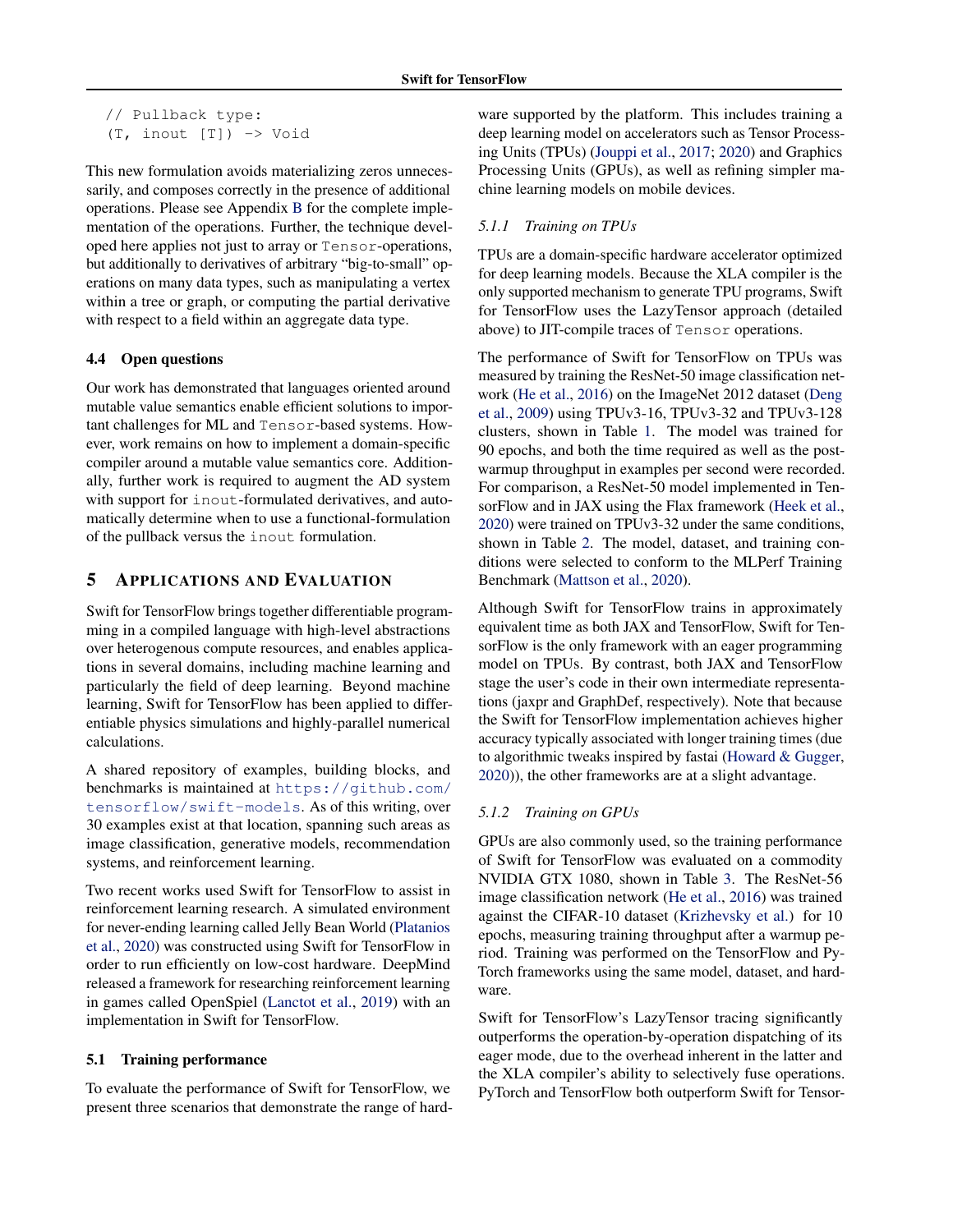```
// Pullback type:
(T, inout [T]) -> Void
```
This new formulation avoids materializing zeros unnecessarily, and composes correctly in the presence of additional operations. Please see Appendix [B](#page-13-0) for the complete implementation of the operations. Further, the technique developed here applies not just to array or Tensor-operations, but additionally to derivatives of arbitrary "big-to-small" operations on many data types, such as manipulating a vertex within a tree or graph, or computing the partial derivative with respect to a field within an aggregate data type.

# 4.4 Open questions

Our work has demonstrated that languages oriented around mutable value semantics enable efficient solutions to important challenges for ML and Tensor-based systems. However, work remains on how to implement a domain-specific compiler around a mutable value semantics core. Additionally, further work is required to augment the AD system with support for inout-formulated derivatives, and automatically determine when to use a functional-formulation of the pullback versus the inout formulation.

# 5 APPLICATIONS AND EVALUATION

Swift for TensorFlow brings together differentiable programming in a compiled language with high-level abstractions over heterogenous compute resources, and enables applications in several domains, including machine learning and particularly the field of deep learning. Beyond machine learning, Swift for TensorFlow has been applied to differentiable physics simulations and highly-parallel numerical calculations.

A shared repository of examples, building blocks, and benchmarks is maintained at [https://github.com/](https://github.com/tensorflow/swift-models) [tensorflow/swift-models](https://github.com/tensorflow/swift-models). As of this writing, over 30 examples exist at that location, spanning such areas as image classification, generative models, recommendation systems, and reinforcement learning.

Two recent works used Swift for TensorFlow to assist in reinforcement learning research. A simulated environment for never-ending learning called Jelly Bean World [\(Platanios](#page-11-0) [et al.,](#page-11-0) [2020\)](#page-11-0) was constructed using Swift for TensorFlow in order to run efficiently on low-cost hardware. DeepMind released a framework for researching reinforcement learning in games called OpenSpiel [\(Lanctot et al.,](#page-11-0) [2019\)](#page-11-0) with an implementation in Swift for TensorFlow.

# 5.1 Training performance

To evaluate the performance of Swift for TensorFlow, we present three scenarios that demonstrate the range of hardware supported by the platform. This includes training a deep learning model on accelerators such as Tensor Processing Units (TPUs) [\(Jouppi et al.,](#page-11-0) [2017;](#page-11-0) [2020\)](#page-11-0) and Graphics Processing Units (GPUs), as well as refining simpler machine learning models on mobile devices.

# *5.1.1 Training on TPUs*

TPUs are a domain-specific hardware accelerator optimized for deep learning models. Because the XLA compiler is the only supported mechanism to generate TPU programs, Swift for TensorFlow uses the LazyTensor approach (detailed above) to JIT-compile traces of Tensor operations.

The performance of Swift for TensorFlow on TPUs was measured by training the ResNet-50 image classification network [\(He et al.,](#page-10-0) [2016\)](#page-10-0) on the ImageNet 2012 dataset [\(Deng](#page-10-0) [et al.,](#page-10-0) [2009\)](#page-10-0) using TPUv3-16, TPUv3-32 and TPUv3-128 clusters, shown in Table [1.](#page-8-0) The model was trained for 90 epochs, and both the time required as well as the postwarmup throughput in examples per second were recorded. For comparison, a ResNet-50 model implemented in TensorFlow and in JAX using the Flax framework [\(Heek et al.,](#page-11-0) [2020\)](#page-11-0) were trained on TPUv3-32 under the same conditions, shown in Table [2.](#page-8-0) The model, dataset, and training conditions were selected to conform to the MLPerf Training Benchmark [\(Mattson et al.,](#page-11-0) [2020\)](#page-11-0).

Although Swift for TensorFlow trains in approximately equivalent time as both JAX and TensorFlow, Swift for TensorFlow is the only framework with an eager programming model on TPUs. By contrast, both JAX and TensorFlow stage the user's code in their own intermediate representations (jaxpr and GraphDef, respectively). Note that because the Swift for TensorFlow implementation achieves higher accuracy typically associated with longer training times (due to algorithmic tweaks inspired by fastai [\(Howard & Gugger,](#page-11-0) [2020\)](#page-11-0)), the other frameworks are at a slight advantage.

# *5.1.2 Training on GPUs*

GPUs are also commonly used, so the training performance of Swift for TensorFlow was evaluated on a commodity NVIDIA GTX 1080, shown in Table [3.](#page-9-0) The ResNet-56 image classification network [\(He et al.,](#page-10-0) [2016\)](#page-10-0) was trained against the CIFAR-10 dataset [\(Krizhevsky et al.\)](#page-11-0) for 10 epochs, measuring training throughput after a warmup period. Training was performed on the TensorFlow and Py-Torch frameworks using the same model, dataset, and hardware.

Swift for TensorFlow's LazyTensor tracing significantly outperforms the operation-by-operation dispatching of its eager mode, due to the overhead inherent in the latter and the XLA compiler's ability to selectively fuse operations. PyTorch and TensorFlow both outperform Swift for Tensor-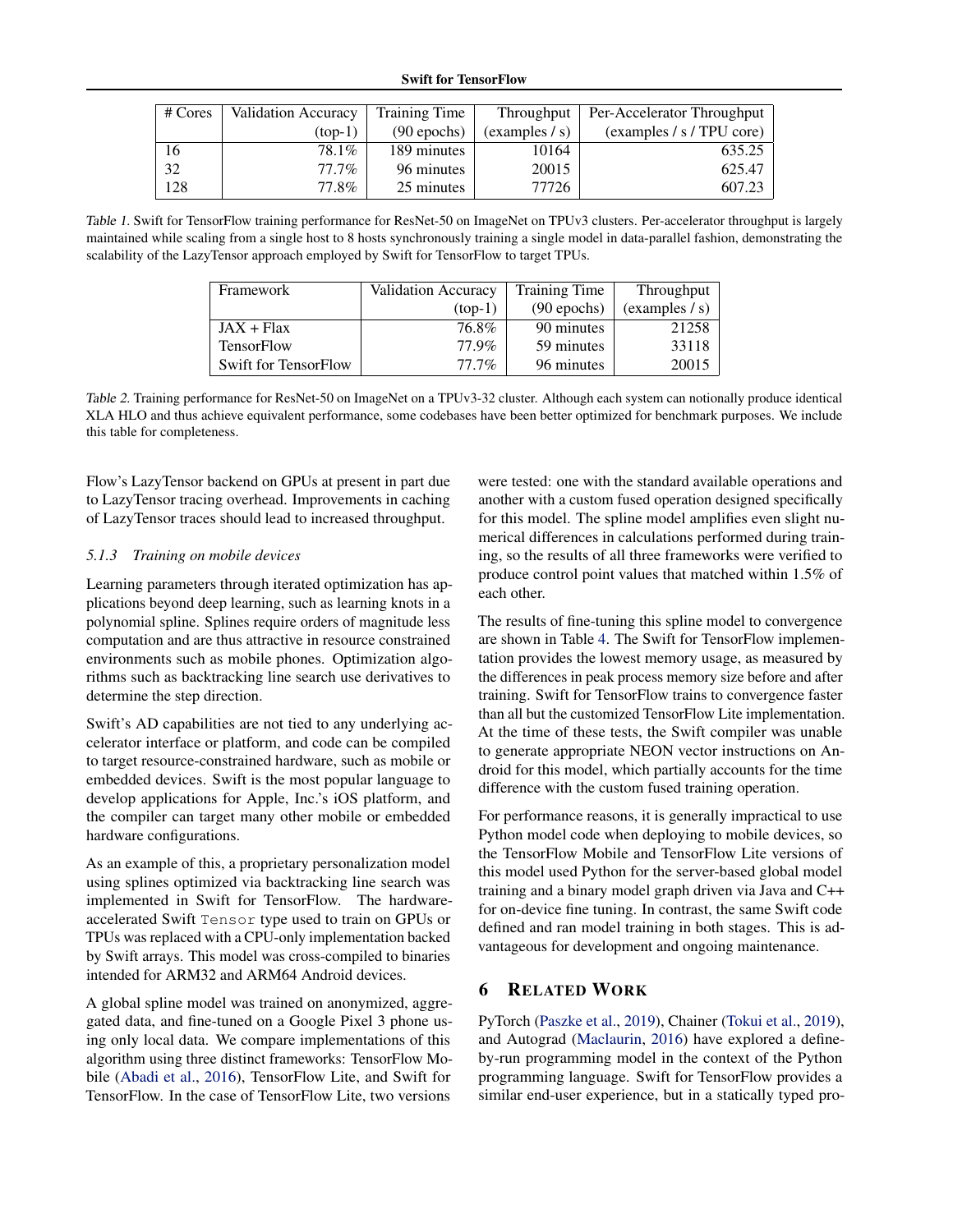<span id="page-8-0"></span>

| # Cores | Validation Accuracy | <b>Training Time</b> | Throughput     | Per-Accelerator Throughput |
|---------|---------------------|----------------------|----------------|----------------------------|
|         | $(top-1)$           | $(90$ epochs)        | (examples / s) | (examples / s / TPU core)  |
| 16      | 78.1%               | 189 minutes          | 10164          | 635.25                     |
| 32      | $77.7\%$            | 96 minutes           | 20015          | 625.47                     |
| 128     | 77.8%               | 25 minutes           | 77726          | 607.23                     |

Table 1. Swift for TensorFlow training performance for ResNet-50 on ImageNet on TPUv3 clusters. Per-accelerator throughput is largely maintained while scaling from a single host to 8 hosts synchronously training a single model in data-parallel fashion, demonstrating the scalability of the LazyTensor approach employed by Swift for TensorFlow to target TPUs.

| Framework            | <b>Validation Accuracy</b> | <b>Training Time</b> | Throughput     |
|----------------------|----------------------------|----------------------|----------------|
|                      | $(top-1)$                  | $(90$ epochs)        | (examples / s) |
| $JAX + Flax$         | 76.8%                      | 90 minutes           | 21258          |
| <b>TensorFlow</b>    | 77.9%                      | 59 minutes           | 33118          |
| Swift for TensorFlow | $77.7\%$                   | 96 minutes           | 20015          |

Table 2. Training performance for ResNet-50 on ImageNet on a TPUv3-32 cluster. Although each system can notionally produce identical XLA HLO and thus achieve equivalent performance, some codebases have been better optimized for benchmark purposes. We include this table for completeness.

Flow's LazyTensor backend on GPUs at present in part due to LazyTensor tracing overhead. Improvements in caching of LazyTensor traces should lead to increased throughput.

# *5.1.3 Training on mobile devices*

Learning parameters through iterated optimization has applications beyond deep learning, such as learning knots in a polynomial spline. Splines require orders of magnitude less computation and are thus attractive in resource constrained environments such as mobile phones. Optimization algorithms such as backtracking line search use derivatives to determine the step direction.

Swift's AD capabilities are not tied to any underlying accelerator interface or platform, and code can be compiled to target resource-constrained hardware, such as mobile or embedded devices. Swift is the most popular language to develop applications for Apple, Inc.'s iOS platform, and the compiler can target many other mobile or embedded hardware configurations.

As an example of this, a proprietary personalization model using splines optimized via backtracking line search was implemented in Swift for TensorFlow. The hardwareaccelerated Swift Tensor type used to train on GPUs or TPUs was replaced with a CPU-only implementation backed by Swift arrays. This model was cross-compiled to binaries intended for ARM32 and ARM64 Android devices.

A global spline model was trained on anonymized, aggregated data, and fine-tuned on a Google Pixel 3 phone using only local data. We compare implementations of this algorithm using three distinct frameworks: TensorFlow Mobile [\(Abadi et al.,](#page-10-0) [2016\)](#page-10-0), TensorFlow Lite, and Swift for TensorFlow. In the case of TensorFlow Lite, two versions

were tested: one with the standard available operations and another with a custom fused operation designed specifically for this model. The spline model amplifies even slight numerical differences in calculations performed during training, so the results of all three frameworks were verified to produce control point values that matched within 1.5% of each other.

The results of fine-tuning this spline model to convergence are shown in Table [4.](#page-9-0) The Swift for TensorFlow implementation provides the lowest memory usage, as measured by the differences in peak process memory size before and after training. Swift for TensorFlow trains to convergence faster than all but the customized TensorFlow Lite implementation. At the time of these tests, the Swift compiler was unable to generate appropriate NEON vector instructions on Android for this model, which partially accounts for the time difference with the custom fused training operation.

For performance reasons, it is generally impractical to use Python model code when deploying to mobile devices, so the TensorFlow Mobile and TensorFlow Lite versions of this model used Python for the server-based global model training and a binary model graph driven via Java and C++ for on-device fine tuning. In contrast, the same Swift code defined and ran model training in both stages. This is advantageous for development and ongoing maintenance.

# 6 RELATED WORK

PyTorch [\(Paszke et al.,](#page-11-0) [2019\)](#page-11-0), Chainer [\(Tokui et al.,](#page-12-0) [2019\)](#page-12-0), and Autograd [\(Maclaurin,](#page-11-0) [2016\)](#page-11-0) have explored a defineby-run programming model in the context of the Python programming language. Swift for TensorFlow provides a similar end-user experience, but in a statically typed pro-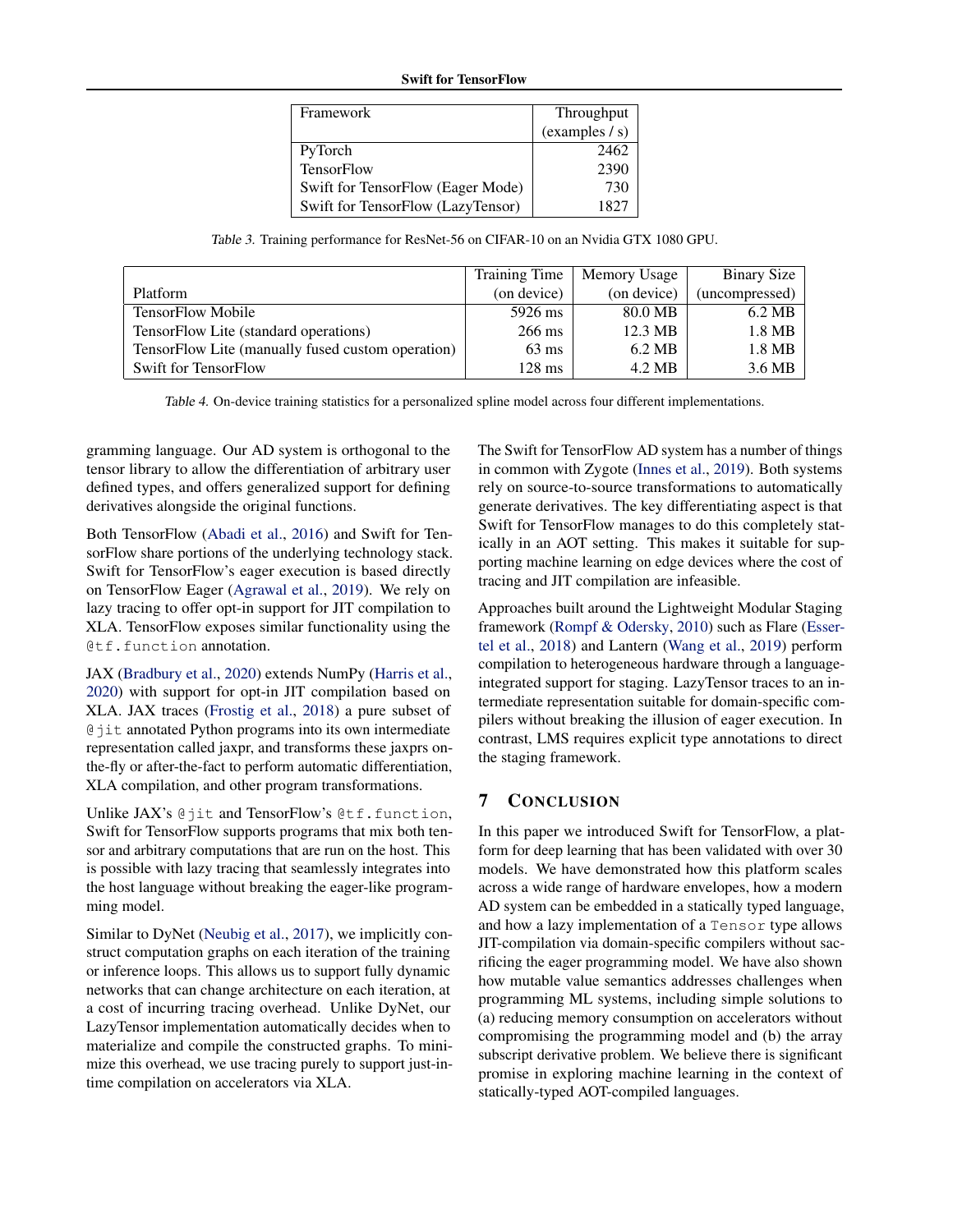# Swift for TensorFlow

| Framework                         | Throughput     |
|-----------------------------------|----------------|
|                                   | (examples / s) |
| PyTorch                           | 2462           |
| <b>TensorFlow</b>                 | 2390           |
| Swift for TensorFlow (Eager Mode) | 730            |
| Swift for TensorFlow (LazyTensor) | 1827           |

Table 3. Training performance for ResNet-56 on CIFAR-10 on an Nvidia GTX 1080 GPU.

<span id="page-9-0"></span>

|                                                   | Training Time    | Memory Usage | Binary Size    |
|---------------------------------------------------|------------------|--------------|----------------|
| Platform                                          | (on device)      | (on device)  | (uncompressed) |
| <b>TensorFlow Mobile</b>                          | 5926 ms          | 80.0 MB      | 6.2 MB         |
| TensorFlow Lite (standard operations)             | $266 \text{ ms}$ | 12.3 MB      | 1.8 MB         |
| TensorFlow Lite (manually fused custom operation) | $63 \text{ ms}$  | 6.2 MB       | 1.8 MB         |
| <b>Swift for TensorFlow</b>                       | $128 \text{ ms}$ | 4.2 MB       | 3.6 MB         |

Table 4. On-device training statistics for a personalized spline model across four different implementations.

gramming language. Our AD system is orthogonal to the tensor library to allow the differentiation of arbitrary user defined types, and offers generalized support for defining derivatives alongside the original functions.

Both TensorFlow [\(Abadi et al.,](#page-10-0) [2016\)](#page-10-0) and Swift for TensorFlow share portions of the underlying technology stack. Swift for TensorFlow's eager execution is based directly on TensorFlow Eager [\(Agrawal et al.,](#page-10-0) [2019\)](#page-10-0). We rely on lazy tracing to offer opt-in support for JIT compilation to XLA. TensorFlow exposes similar functionality using the @tf.function annotation.

JAX [\(Bradbury et al.,](#page-10-0) [2020\)](#page-10-0) extends NumPy [\(Harris et al.,](#page-10-0) [2020\)](#page-10-0) with support for opt-in JIT compilation based on XLA. JAX traces [\(Frostig et al.,](#page-10-0) [2018\)](#page-10-0) a pure subset of @jit annotated Python programs into its own intermediate representation called jaxpr, and transforms these jaxprs onthe-fly or after-the-fact to perform automatic differentiation, XLA compilation, and other program transformations.

Unlike JAX's @jit and TensorFlow's @tf.function, Swift for TensorFlow supports programs that mix both tensor and arbitrary computations that are run on the host. This is possible with lazy tracing that seamlessly integrates into the host language without breaking the eager-like programming model.

Similar to DyNet [\(Neubig et al.,](#page-11-0) [2017\)](#page-11-0), we implicitly construct computation graphs on each iteration of the training or inference loops. This allows us to support fully dynamic networks that can change architecture on each iteration, at a cost of incurring tracing overhead. Unlike DyNet, our LazyTensor implementation automatically decides when to materialize and compile the constructed graphs. To minimize this overhead, we use tracing purely to support just-intime compilation on accelerators via XLA.

The Swift for TensorFlow AD system has a number of things in common with Zygote [\(Innes et al.,](#page-11-0) [2019\)](#page-11-0). Both systems rely on source-to-source transformations to automatically generate derivatives. The key differentiating aspect is that Swift for TensorFlow manages to do this completely statically in an AOT setting. This makes it suitable for supporting machine learning on edge devices where the cost of tracing and JIT compilation are infeasible.

Approaches built around the Lightweight Modular Staging framework [\(Rompf & Odersky,](#page-11-0) [2010\)](#page-11-0) such as Flare [\(Esser](#page-10-0)[tel et al.,](#page-10-0) [2018\)](#page-10-0) and Lantern [\(Wang et al.,](#page-12-0) [2019\)](#page-12-0) perform compilation to heterogeneous hardware through a languageintegrated support for staging. LazyTensor traces to an intermediate representation suitable for domain-specific compilers without breaking the illusion of eager execution. In contrast, LMS requires explicit type annotations to direct the staging framework.

# 7 CONCLUSION

In this paper we introduced Swift for TensorFlow, a platform for deep learning that has been validated with over 30 models. We have demonstrated how this platform scales across a wide range of hardware envelopes, how a modern AD system can be embedded in a statically typed language, and how a lazy implementation of a Tensor type allows JIT-compilation via domain-specific compilers without sacrificing the eager programming model. We have also shown how mutable value semantics addresses challenges when programming ML systems, including simple solutions to (a) reducing memory consumption on accelerators without compromising the programming model and (b) the array subscript derivative problem. We believe there is significant promise in exploring machine learning in the context of statically-typed AOT-compiled languages.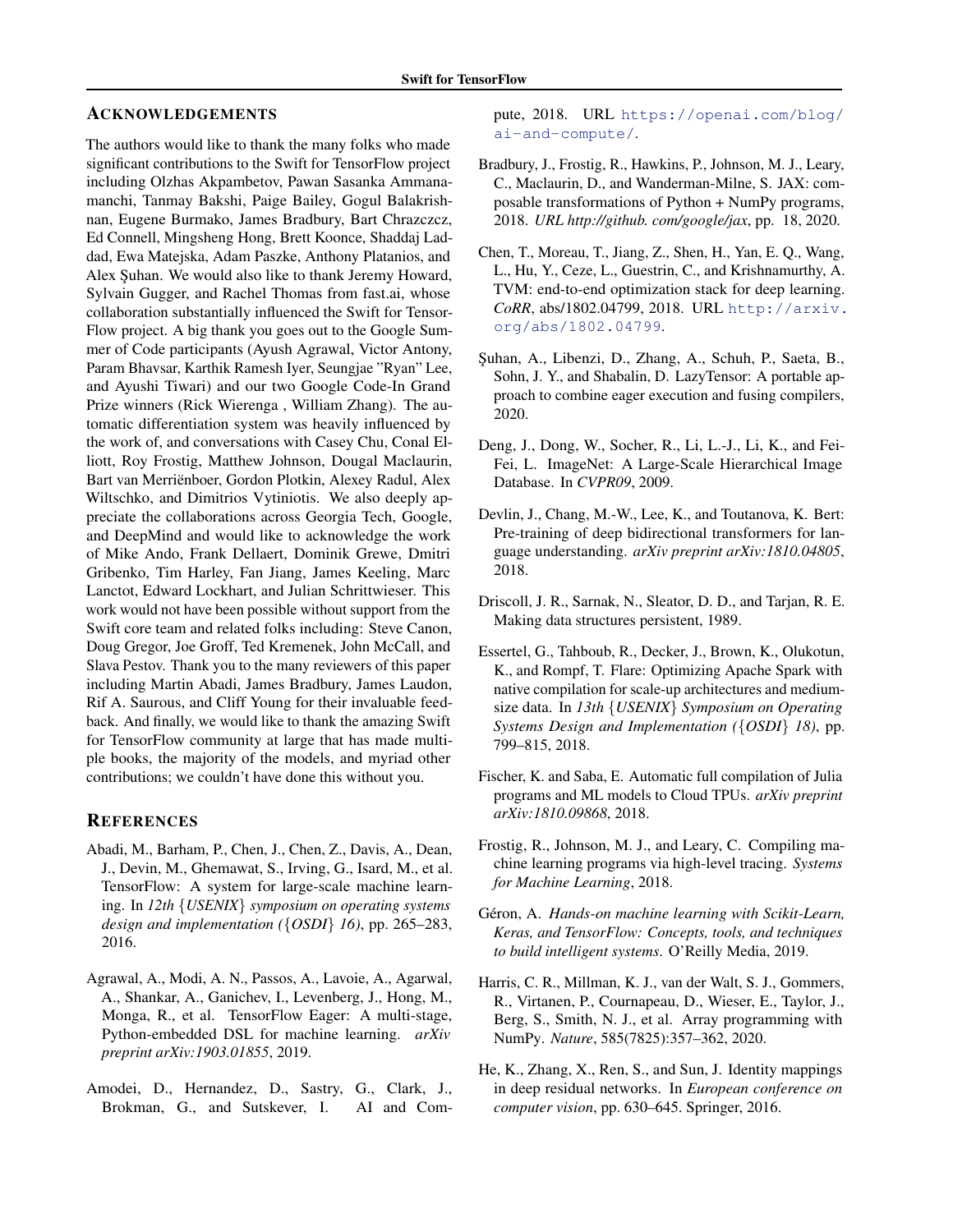# <span id="page-10-0"></span>ACKNOWLEDGEMENTS

The authors would like to thank the many folks who made significant contributions to the Swift for TensorFlow project including Olzhas Akpambetov, Pawan Sasanka Ammanamanchi, Tanmay Bakshi, Paige Bailey, Gogul Balakrishnan, Eugene Burmako, James Bradbury, Bart Chrazczcz, Ed Connell, Mingsheng Hong, Brett Koonce, Shaddaj Laddad, Ewa Matejska, Adam Paszke, Anthony Platanios, and Alex Suhan. We would also like to thank Jeremy Howard, Sylvain Gugger, and Rachel Thomas from fast.ai, whose collaboration substantially influenced the Swift for Tensor-Flow project. A big thank you goes out to the Google Summer of Code participants (Ayush Agrawal, Victor Antony, Param Bhavsar, Karthik Ramesh Iyer, Seungjae "Ryan" Lee, and Ayushi Tiwari) and our two Google Code-In Grand Prize winners (Rick Wierenga , William Zhang). The automatic differentiation system was heavily influenced by the work of, and conversations with Casey Chu, Conal Elliott, Roy Frostig, Matthew Johnson, Dougal Maclaurin, Bart van Merrienboer, Gordon Plotkin, Alexey Radul, Alex ¨ Wiltschko, and Dimitrios Vytiniotis. We also deeply appreciate the collaborations across Georgia Tech, Google, and DeepMind and would like to acknowledge the work of Mike Ando, Frank Dellaert, Dominik Grewe, Dmitri Gribenko, Tim Harley, Fan Jiang, James Keeling, Marc Lanctot, Edward Lockhart, and Julian Schrittwieser. This work would not have been possible without support from the Swift core team and related folks including: Steve Canon, Doug Gregor, Joe Groff, Ted Kremenek, John McCall, and Slava Pestov. Thank you to the many reviewers of this paper including Martin Abadi, James Bradbury, James Laudon, Rif A. Saurous, and Cliff Young for their invaluable feedback. And finally, we would like to thank the amazing Swift for TensorFlow community at large that has made multiple books, the majority of the models, and myriad other contributions; we couldn't have done this without you.

# **REFERENCES**

- Abadi, M., Barham, P., Chen, J., Chen, Z., Davis, A., Dean, J., Devin, M., Ghemawat, S., Irving, G., Isard, M., et al. TensorFlow: A system for large-scale machine learning. In *12th* {*USENIX*} *symposium on operating systems design and implementation (*{*OSDI*} *16)*, pp. 265–283, 2016.
- Agrawal, A., Modi, A. N., Passos, A., Lavoie, A., Agarwal, A., Shankar, A., Ganichev, I., Levenberg, J., Hong, M., Monga, R., et al. TensorFlow Eager: A multi-stage, Python-embedded DSL for machine learning. *arXiv preprint arXiv:1903.01855*, 2019.
- Amodei, D., Hernandez, D., Sastry, G., Clark, J., Brokman, G., and Sutskever, I. AI and Com-

pute, 2018. URL [https://openai.com/blog/](https://openai.com/blog/ai-and-compute/) [ai-and-compute/](https://openai.com/blog/ai-and-compute/).

- Bradbury, J., Frostig, R., Hawkins, P., Johnson, M. J., Leary, C., Maclaurin, D., and Wanderman-Milne, S. JAX: composable transformations of Python + NumPy programs, 2018. *URL http://github. com/google/jax*, pp. 18, 2020.
- Chen, T., Moreau, T., Jiang, Z., Shen, H., Yan, E. Q., Wang, L., Hu, Y., Ceze, L., Guestrin, C., and Krishnamurthy, A. TVM: end-to-end optimization stack for deep learning. *CoRR*, abs/1802.04799, 2018. URL [http://arxiv.](http://arxiv.org/abs/1802.04799) [org/abs/1802.04799](http://arxiv.org/abs/1802.04799).
- Şuhan, A., Libenzi, D., Zhang, A., Schuh, P., Saeta, B., Sohn, J. Y., and Shabalin, D. LazyTensor: A portable approach to combine eager execution and fusing compilers, 2020.
- Deng, J., Dong, W., Socher, R., Li, L.-J., Li, K., and Fei-Fei, L. ImageNet: A Large-Scale Hierarchical Image Database. In *CVPR09*, 2009.
- Devlin, J., Chang, M.-W., Lee, K., and Toutanova, K. Bert: Pre-training of deep bidirectional transformers for language understanding. *arXiv preprint arXiv:1810.04805*, 2018.
- Driscoll, J. R., Sarnak, N., Sleator, D. D., and Tarjan, R. E. Making data structures persistent, 1989.
- Essertel, G., Tahboub, R., Decker, J., Brown, K., Olukotun, K., and Rompf, T. Flare: Optimizing Apache Spark with native compilation for scale-up architectures and mediumsize data. In *13th* {*USENIX*} *Symposium on Operating Systems Design and Implementation (*{*OSDI*} *18)*, pp. 799–815, 2018.
- Fischer, K. and Saba, E. Automatic full compilation of Julia programs and ML models to Cloud TPUs. *arXiv preprint arXiv:1810.09868*, 2018.
- Frostig, R., Johnson, M. J., and Leary, C. Compiling machine learning programs via high-level tracing. *Systems for Machine Learning*, 2018.
- Géron, A. *Hands-on machine learning with Scikit-Learn, Keras, and TensorFlow: Concepts, tools, and techniques to build intelligent systems*. O'Reilly Media, 2019.
- Harris, C. R., Millman, K. J., van der Walt, S. J., Gommers, R., Virtanen, P., Cournapeau, D., Wieser, E., Taylor, J., Berg, S., Smith, N. J., et al. Array programming with NumPy. *Nature*, 585(7825):357–362, 2020.
- He, K., Zhang, X., Ren, S., and Sun, J. Identity mappings in deep residual networks. In *European conference on computer vision*, pp. 630–645. Springer, 2016.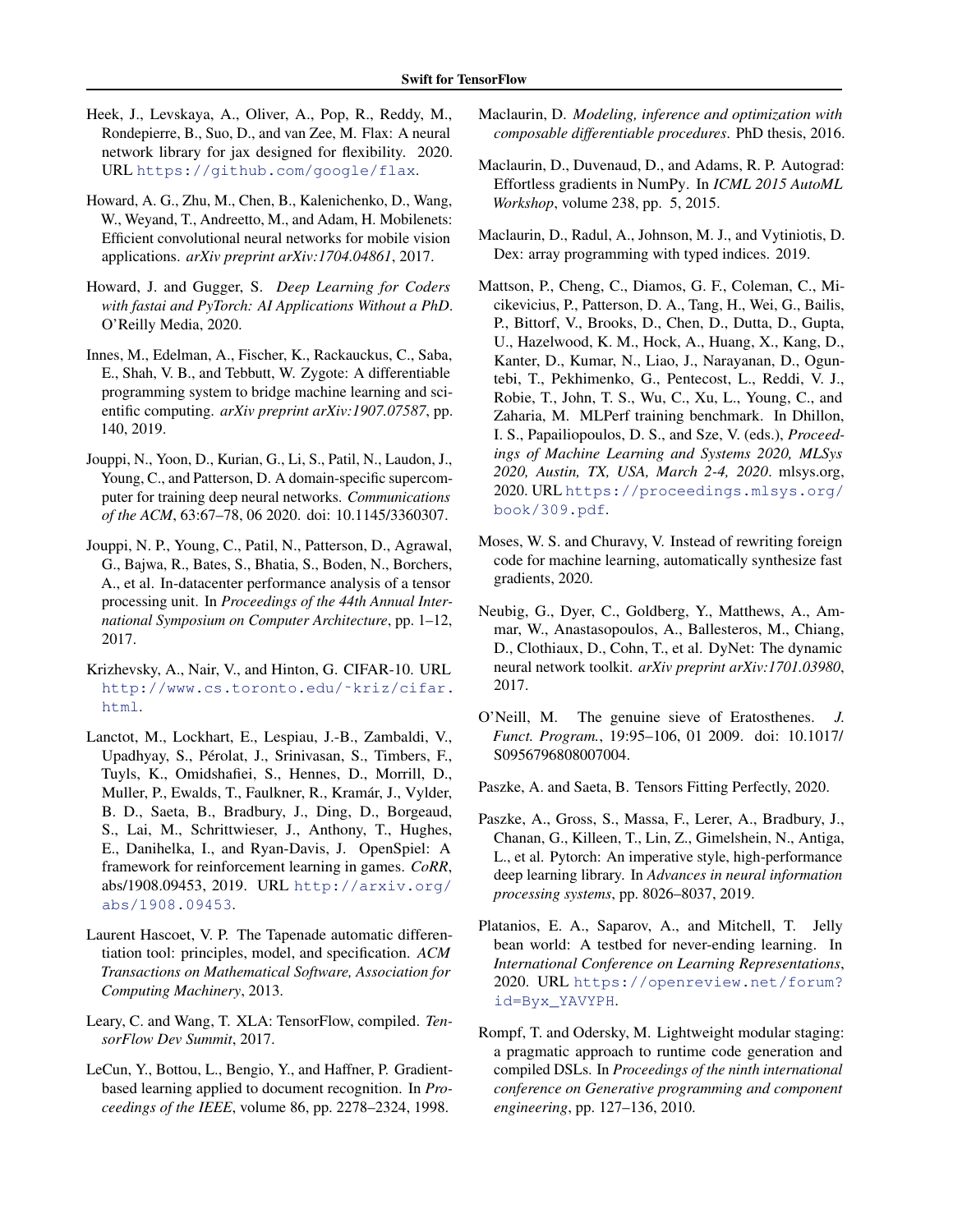- <span id="page-11-0"></span>Heek, J., Levskaya, A., Oliver, A., Pop, R., Reddy, M., Rondepierre, B., Suo, D., and van Zee, M. Flax: A neural network library for jax designed for flexibility. 2020. URL <https://github.com/google/flax>.
- Howard, A. G., Zhu, M., Chen, B., Kalenichenko, D., Wang, W., Weyand, T., Andreetto, M., and Adam, H. Mobilenets: Efficient convolutional neural networks for mobile vision applications. *arXiv preprint arXiv:1704.04861*, 2017.
- Howard, J. and Gugger, S. *Deep Learning for Coders with fastai and PyTorch: AI Applications Without a PhD*. O'Reilly Media, 2020.
- Innes, M., Edelman, A., Fischer, K., Rackauckus, C., Saba, E., Shah, V. B., and Tebbutt, W. Zygote: A differentiable programming system to bridge machine learning and scientific computing. *arXiv preprint arXiv:1907.07587*, pp. 140, 2019.
- Jouppi, N., Yoon, D., Kurian, G., Li, S., Patil, N., Laudon, J., Young, C., and Patterson, D. A domain-specific supercomputer for training deep neural networks. *Communications of the ACM*, 63:67–78, 06 2020. doi: 10.1145/3360307.
- Jouppi, N. P., Young, C., Patil, N., Patterson, D., Agrawal, G., Bajwa, R., Bates, S., Bhatia, S., Boden, N., Borchers, A., et al. In-datacenter performance analysis of a tensor processing unit. In *Proceedings of the 44th Annual International Symposium on Computer Architecture*, pp. 1–12, 2017.
- Krizhevsky, A., Nair, V., and Hinton, G. CIFAR-10. URL [http://www.cs.toronto.edu/˜kriz/cifar.](http://www.cs.toronto.edu/~kriz/cifar.html) [html](http://www.cs.toronto.edu/~kriz/cifar.html).
- Lanctot, M., Lockhart, E., Lespiau, J.-B., Zambaldi, V., Upadhyay, S., Pérolat, J., Srinivasan, S., Timbers, F., Tuyls, K., Omidshafiei, S., Hennes, D., Morrill, D., Muller, P., Ewalds, T., Faulkner, R., Kramár, J., Vylder, B. D., Saeta, B., Bradbury, J., Ding, D., Borgeaud, S., Lai, M., Schrittwieser, J., Anthony, T., Hughes, E., Danihelka, I., and Ryan-Davis, J. OpenSpiel: A framework for reinforcement learning in games. *CoRR*, abs/1908.09453, 2019. URL [http://arxiv.org/](http://arxiv.org/abs/1908.09453) [abs/1908.09453](http://arxiv.org/abs/1908.09453).
- Laurent Hascoet, V. P. The Tapenade automatic differentiation tool: principles, model, and specification. *ACM Transactions on Mathematical Software, Association for Computing Machinery*, 2013.
- Leary, C. and Wang, T. XLA: TensorFlow, compiled. *TensorFlow Dev Summit*, 2017.
- LeCun, Y., Bottou, L., Bengio, Y., and Haffner, P. Gradientbased learning applied to document recognition. In *Proceedings of the IEEE*, volume 86, pp. 2278–2324, 1998.
- Maclaurin, D. *Modeling, inference and optimization with composable differentiable procedures*. PhD thesis, 2016.
- Maclaurin, D., Duvenaud, D., and Adams, R. P. Autograd: Effortless gradients in NumPy. In *ICML 2015 AutoML Workshop*, volume 238, pp. 5, 2015.
- Maclaurin, D., Radul, A., Johnson, M. J., and Vytiniotis, D. Dex: array programming with typed indices. 2019.
- Mattson, P., Cheng, C., Diamos, G. F., Coleman, C., Micikevicius, P., Patterson, D. A., Tang, H., Wei, G., Bailis, P., Bittorf, V., Brooks, D., Chen, D., Dutta, D., Gupta, U., Hazelwood, K. M., Hock, A., Huang, X., Kang, D., Kanter, D., Kumar, N., Liao, J., Narayanan, D., Oguntebi, T., Pekhimenko, G., Pentecost, L., Reddi, V. J., Robie, T., John, T. S., Wu, C., Xu, L., Young, C., and Zaharia, M. MLPerf training benchmark. In Dhillon, I. S., Papailiopoulos, D. S., and Sze, V. (eds.), *Proceedings of Machine Learning and Systems 2020, MLSys 2020, Austin, TX, USA, March 2-4, 2020*. mlsys.org, 2020. URL [https://proceedings.mlsys.org/](https://proceedings.mlsys.org/book/309.pdf) [book/309.pdf](https://proceedings.mlsys.org/book/309.pdf).
- Moses, W. S. and Churavy, V. Instead of rewriting foreign code for machine learning, automatically synthesize fast gradients, 2020.
- Neubig, G., Dyer, C., Goldberg, Y., Matthews, A., Ammar, W., Anastasopoulos, A., Ballesteros, M., Chiang, D., Clothiaux, D., Cohn, T., et al. DyNet: The dynamic neural network toolkit. *arXiv preprint arXiv:1701.03980*, 2017.
- O'Neill, M. The genuine sieve of Eratosthenes. *J. Funct. Program.*, 19:95–106, 01 2009. doi: 10.1017/ S0956796808007004.

Paszke, A. and Saeta, B. Tensors Fitting Perfectly, 2020.

- Paszke, A., Gross, S., Massa, F., Lerer, A., Bradbury, J., Chanan, G., Killeen, T., Lin, Z., Gimelshein, N., Antiga, L., et al. Pytorch: An imperative style, high-performance deep learning library. In *Advances in neural information processing systems*, pp. 8026–8037, 2019.
- Platanios, E. A., Saparov, A., and Mitchell, T. Jelly bean world: A testbed for never-ending learning. In *International Conference on Learning Representations*, 2020. URL [https://openreview.net/forum?](https://openreview.net/forum?id=Byx_YAVYPH) [id=Byx\\_YAVYPH](https://openreview.net/forum?id=Byx_YAVYPH).
- Rompf, T. and Odersky, M. Lightweight modular staging: a pragmatic approach to runtime code generation and compiled DSLs. In *Proceedings of the ninth international conference on Generative programming and component engineering*, pp. 127–136, 2010.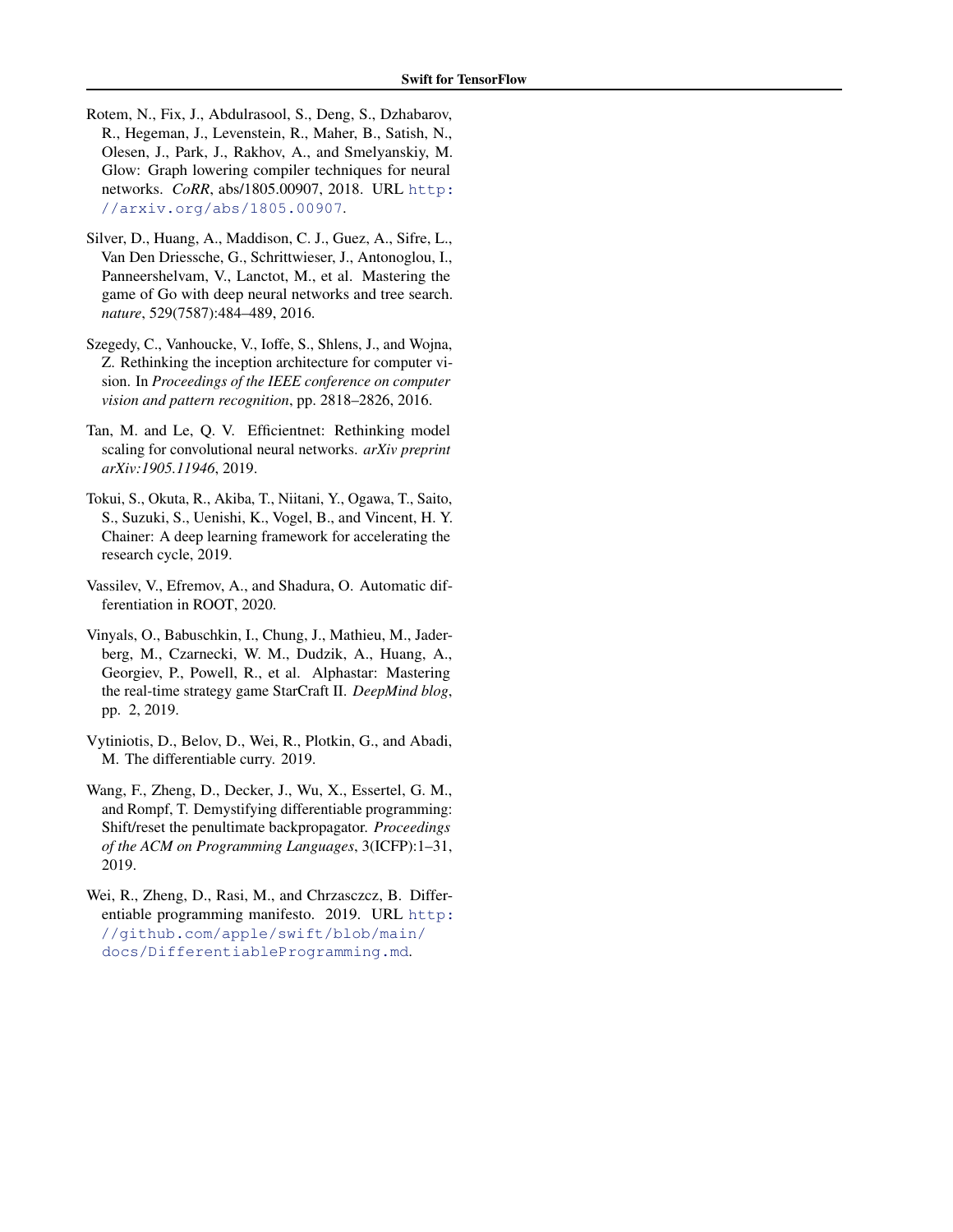- <span id="page-12-0"></span>Rotem, N., Fix, J., Abdulrasool, S., Deng, S., Dzhabarov, R., Hegeman, J., Levenstein, R., Maher, B., Satish, N., Olesen, J., Park, J., Rakhov, A., and Smelyanskiy, M. Glow: Graph lowering compiler techniques for neural networks. *CoRR*, abs/1805.00907, 2018. URL [http:](http://arxiv.org/abs/1805.00907) [//arxiv.org/abs/1805.00907](http://arxiv.org/abs/1805.00907).
- Silver, D., Huang, A., Maddison, C. J., Guez, A., Sifre, L., Van Den Driessche, G., Schrittwieser, J., Antonoglou, I., Panneershelvam, V., Lanctot, M., et al. Mastering the game of Go with deep neural networks and tree search. *nature*, 529(7587):484–489, 2016.
- Szegedy, C., Vanhoucke, V., Ioffe, S., Shlens, J., and Wojna, Z. Rethinking the inception architecture for computer vision. In *Proceedings of the IEEE conference on computer vision and pattern recognition*, pp. 2818–2826, 2016.
- Tan, M. and Le, Q. V. Efficientnet: Rethinking model scaling for convolutional neural networks. *arXiv preprint arXiv:1905.11946*, 2019.
- Tokui, S., Okuta, R., Akiba, T., Niitani, Y., Ogawa, T., Saito, S., Suzuki, S., Uenishi, K., Vogel, B., and Vincent, H. Y. Chainer: A deep learning framework for accelerating the research cycle, 2019.
- Vassilev, V., Efremov, A., and Shadura, O. Automatic differentiation in ROOT, 2020.
- Vinyals, O., Babuschkin, I., Chung, J., Mathieu, M., Jaderberg, M., Czarnecki, W. M., Dudzik, A., Huang, A., Georgiev, P., Powell, R., et al. Alphastar: Mastering the real-time strategy game StarCraft II. *DeepMind blog*, pp. 2, 2019.
- Vytiniotis, D., Belov, D., Wei, R., Plotkin, G., and Abadi, M. The differentiable curry. 2019.
- Wang, F., Zheng, D., Decker, J., Wu, X., Essertel, G. M., and Rompf, T. Demystifying differentiable programming: Shift/reset the penultimate backpropagator. *Proceedings of the ACM on Programming Languages*, 3(ICFP):1–31, 2019.
- Wei, R., Zheng, D., Rasi, M., and Chrzasczcz, B. Differentiable programming manifesto. 2019. URL [http:](http://github.com/apple/swift/blob/main/docs/DifferentiableProgramming.md) [//github.com/apple/swift/blob/main/](http://github.com/apple/swift/blob/main/docs/DifferentiableProgramming.md) [docs/DifferentiableProgramming.md](http://github.com/apple/swift/blob/main/docs/DifferentiableProgramming.md).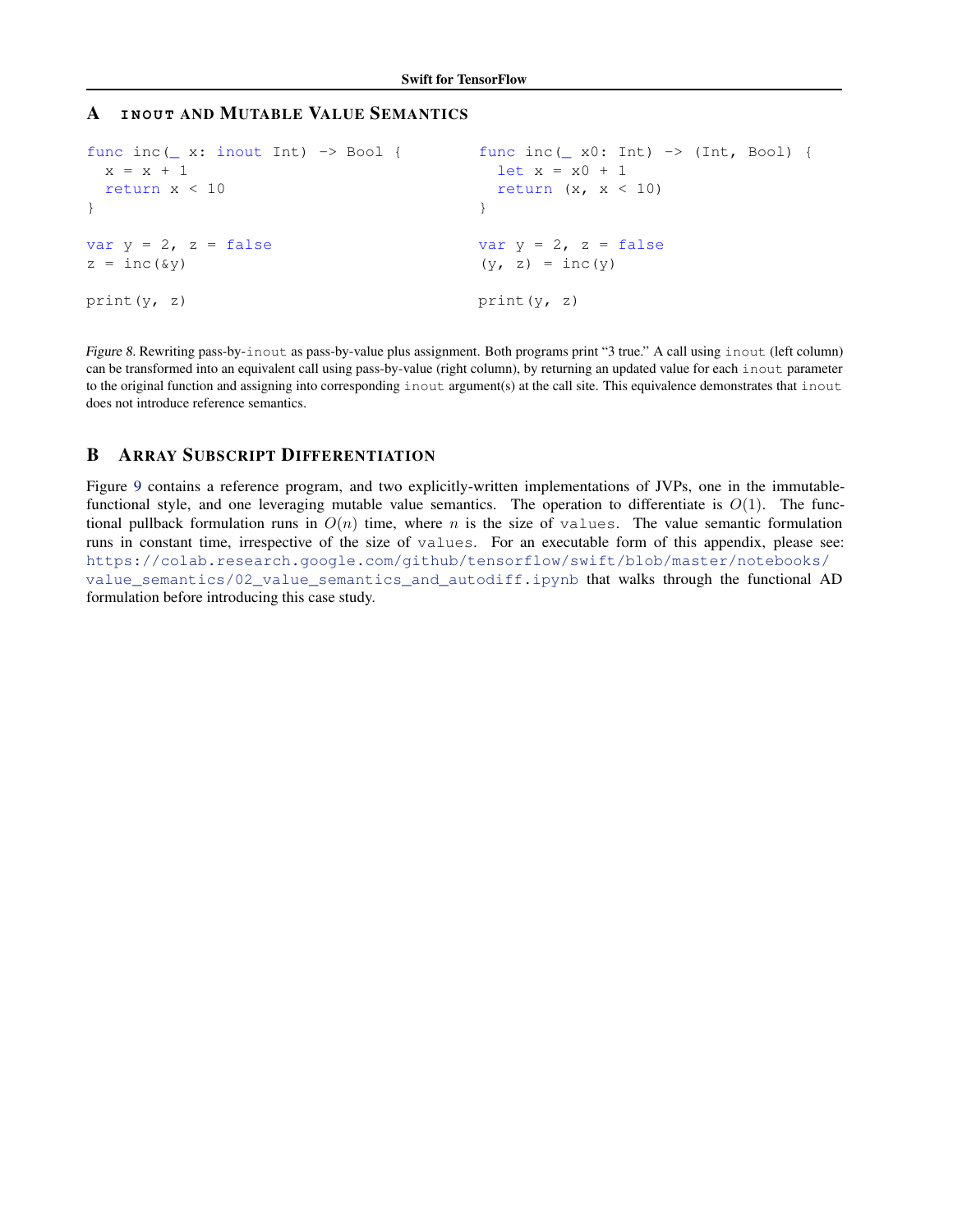# <span id="page-13-0"></span>**A** INOUT AND MUTABLE VALUE SEMANTICS

```
func inc(_ x: inout Int) -> Bool {
  x = x + 1return x < 10
}
var y = 2, z = falsez = inc(\&y)print(y, z)
                                             func inc ( x0: Int) \rightarrow (Int, Bool) {
                                              let x = x0 + 1return (x, x < 10)}
                                            var y = 2, z = false(y, z) = inc(y)print(y, z)
```
Figure 8. Rewriting pass-by-inout as pass-by-value plus assignment. Both programs print "3 true." A call using inout (left column) can be transformed into an equivalent call using pass-by-value (right column), by returning an updated value for each inout parameter to the original function and assigning into corresponding inout argument(s) at the call site. This equivalence demonstrates that inout does not introduce reference semantics.

# B ARRAY SUBSCRIPT DIFFERENTIATION

Figure [9](#page-14-0) contains a reference program, and two explicitly-written implementations of JVPs, one in the immutablefunctional style, and one leveraging mutable value semantics. The operation to differentiate is  $O(1)$ . The functional pullback formulation runs in  $O(n)$  time, where n is the size of values. The value semantic formulation runs in constant time, irrespective of the size of values. For an executable form of this appendix, please see: [https://colab.research.google.com/github/tensorflow/swift/blob/master/notebooks/](https://colab.research.google.com/github/tensorflow/swift/blob/master/notebooks/value_semantics/02_value_semantics_and_autodiff.ipynb) [value\\_semantics/02\\_value\\_semantics\\_and\\_autodiff.ipynb](https://colab.research.google.com/github/tensorflow/swift/blob/master/notebooks/value_semantics/02_value_semantics_and_autodiff.ipynb) that walks through the functional AD formulation before introducing this case study.